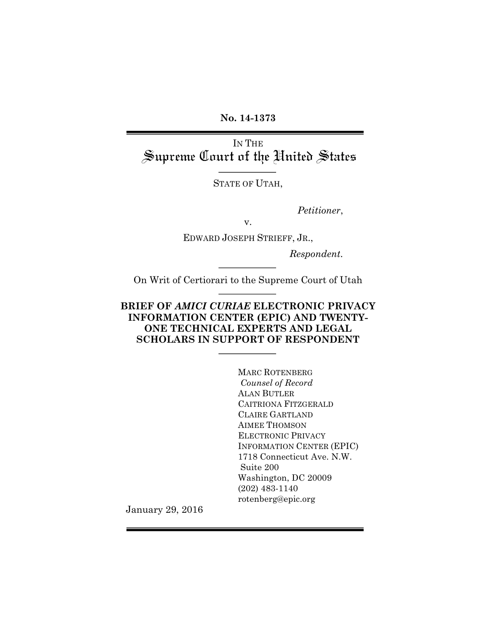**No. 14-1373**

IN THE<br>Supreme Court of the United States

STATE OF UTAH,

*Petitioner*,

v.

EDWARD JOSEPH STRIEFF, JR.,

*Respondent.*

On Writ of Certiorari to the Supreme Court of Utah

### **BRIEF OF** *AMICI CURIAE* **ELECTRONIC PRIVACY INFORMATION CENTER (EPIC) AND TWENTY-ONE TECHNICAL EXPERTS AND LEGAL SCHOLARS IN SUPPORT OF RESPONDENT**

MARC ROTENBERG *Counsel of Record* ALAN BUTLER CAITRIONA FITZGERALD CLAIRE GARTLAND AIMEE THOMSON ELECTRONIC PRIVACY INFORMATION CENTER (EPIC) 1718 Connecticut Ave. N.W. Suite 200 Washington, DC 20009 (202) 483-1140 rotenberg@epic.org

January 29, 2016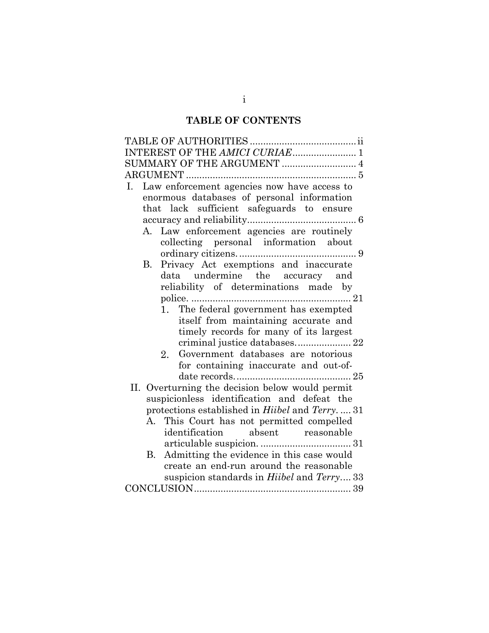# **TABLE OF CONTENTS**

| INTEREST OF THE AMICI CURIAE 1                                |
|---------------------------------------------------------------|
| SUMMARY OF THE ARGUMENT  4                                    |
|                                                               |
| Law enforcement agencies now have access to<br>Ι.             |
| enormous databases of personal information                    |
| that lack sufficient safeguards to ensure                     |
|                                                               |
| A. Law enforcement agencies are routinely                     |
| collecting personal information about                         |
|                                                               |
| Privacy Act exemptions and inaccurate<br>В.                   |
| data undermine the accuracy and                               |
| reliability of determinations made by                         |
|                                                               |
| 1. The federal government has exempted                        |
| itself from maintaining accurate and                          |
| timely records for many of its largest                        |
|                                                               |
| Government databases are notorious<br>2.                      |
| for containing inaccurate and out-of-                         |
|                                                               |
| II. Overturning the decision below would permit               |
| suspicionless identification and defeat the                   |
| protections established in <i>Hiibel</i> and <i>Terry.</i> 31 |
| A. This Court has not permitted compelled                     |
| identification absent reasonable                              |
|                                                               |
| Admitting the evidence in this case would<br><b>B.</b>        |
| create an end-run around the reasonable                       |
| suspicion standards in <i>Hiibel</i> and <i>Terry</i> 33      |
|                                                               |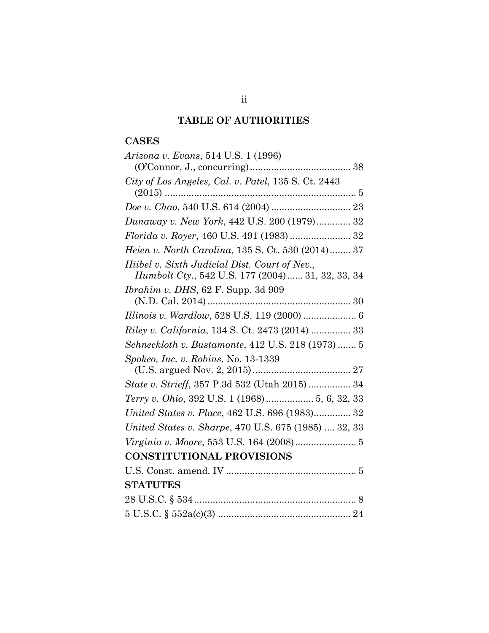# **TABLE OF AUTHORITIES**

# **CASES**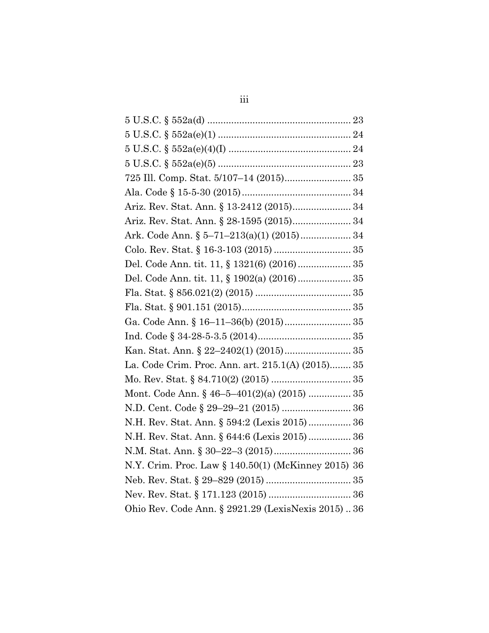| $5 \text{ U.S.C. } \S 552a(e)(1) \dots$             |
|-----------------------------------------------------|
|                                                     |
|                                                     |
|                                                     |
|                                                     |
| Ariz. Rev. Stat. Ann. § 13-2412 (2015) 34           |
|                                                     |
| Ark. Code Ann. § 5–71–213(a)(1) (2015) 34           |
|                                                     |
| Del. Code Ann. tit. 11, § 1321(6) (2016) 35         |
| Del. Code Ann. tit. 11, § 1902(a) (2016) 35         |
|                                                     |
|                                                     |
|                                                     |
|                                                     |
| Kan. Stat. Ann. § 22-2402(1) (2015) 35              |
| La. Code Crim. Proc. Ann. art. 215.1(A) (2015) 35   |
|                                                     |
| Mont. Code Ann. § 46-5-401(2)(a) (2015)  35         |
|                                                     |
| N.H. Rev. Stat. Ann. § 594:2 (Lexis 2015) 36        |
| N.H. Rev. Stat. Ann. § 644:6 (Lexis 2015) 36        |
|                                                     |
| N.Y. Crim. Proc. Law § 140.50(1) (McKinney 2015) 36 |
|                                                     |
|                                                     |
| Ohio Rev. Code Ann. § 2921.29 (LexisNexis 2015) 36  |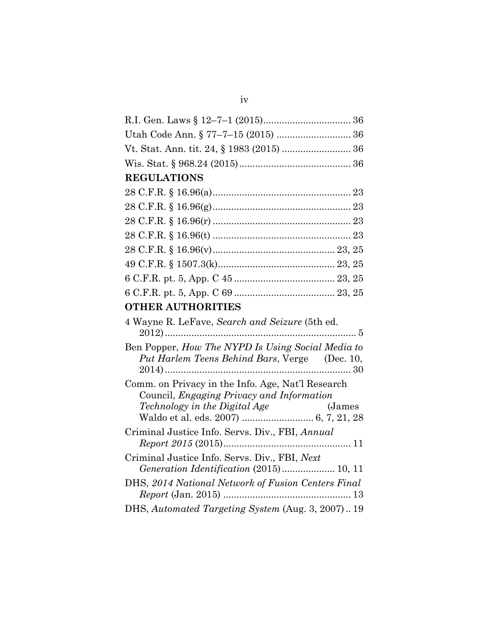| <b>REGULATIONS</b>                                                                                 |
|----------------------------------------------------------------------------------------------------|
|                                                                                                    |
|                                                                                                    |
|                                                                                                    |
|                                                                                                    |
|                                                                                                    |
|                                                                                                    |
|                                                                                                    |
|                                                                                                    |
| <b>OTHER AUTHORITIES</b>                                                                           |
| 4 Wayne R. LeFave, Search and Seizure (5th ed.                                                     |
| Ben Popper, How The NYPD Is Using Social Media to<br>Put Harlem Teens Behind Bars, Verge (Dec. 10, |
| Comm. on Privacy in the Info. Age, Nat'l Research<br>Council, Engaging Privacy and Information     |
| Criminal Justice Info. Servs. Div., FBI, Annual                                                    |
| Criminal Justice Info. Servs. Div., FBI, Next<br>Generation Identification (2015) 10, 11           |
| DHS, 2014 National Network of Fusion Centers Final                                                 |
| DHS, Automated Targeting System (Aug. 3, 2007) 19                                                  |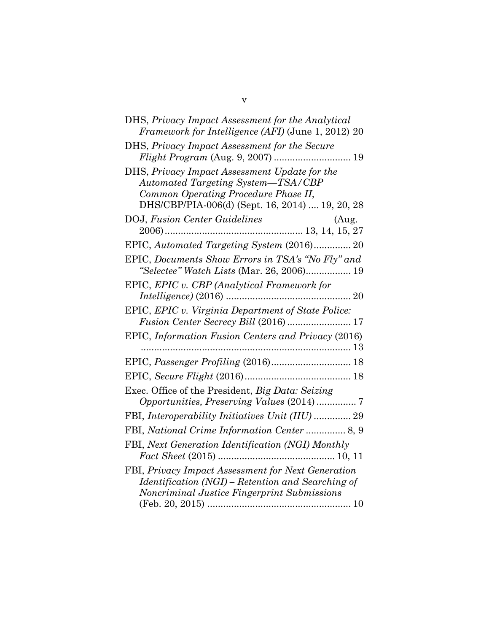| DHS, Privacy Impact Assessment for the Analytical<br>Framework for Intelligence (AFI) (June 1, 2012) 20                                                                        |
|--------------------------------------------------------------------------------------------------------------------------------------------------------------------------------|
| DHS, Privacy Impact Assessment for the Secure<br>Flight Program (Aug. 9, 2007)  19                                                                                             |
| DHS, Privacy Impact Assessment Update for the<br>Automated Targeting System-TSA/CBP<br>Common Operating Procedure Phase II,<br>DHS/CBP/PIA-006(d) (Sept. 16, 2014)  19, 20, 28 |
| $\begin{minipage}{.4\linewidth} DOJ, Fusion Center Guidelines & (Aug.\\ 2006)13, 14, 15, 27 \end{minipage}$                                                                    |
| EPIC, Automated Targeting System (2016) 20                                                                                                                                     |
| EPIC, Documents Show Errors in TSA's "No Fly" and<br>"Selectee" Watch Lists (Mar. 26, 2006) 19                                                                                 |
| EPIC, EPIC v. CBP (Analytical Framework for                                                                                                                                    |
| EPIC, EPIC v. Virginia Department of State Police:                                                                                                                             |
| EPIC, Information Fusion Centers and Privacy (2016)                                                                                                                            |
|                                                                                                                                                                                |
|                                                                                                                                                                                |
| Exec. Office of the President, Big Data: Seizing<br>Opportunities, Preserving Values (2014)  7                                                                                 |
| FBI, Interoperability Initiatives Unit (IIU)  29                                                                                                                               |
|                                                                                                                                                                                |
| FBI, Next Generation Identification (NGI) Monthly                                                                                                                              |
| FBI, Privacy Impact Assessment for Next Generation<br>Identification (NGI) – Retention and Searching of<br>Noncriminal Justice Fingerprint Submissions                         |
|                                                                                                                                                                                |

v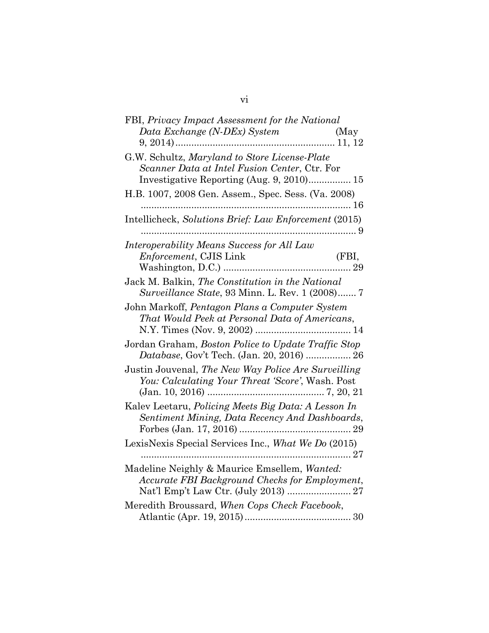| FBI, Privacy Impact Assessment for the National            |
|------------------------------------------------------------|
| Data Exchange (N-DEx) System<br>(May                       |
|                                                            |
| G.W. Schultz, Maryland to Store License-Plate              |
| Scanner Data at Intel Fusion Center, Ctr. For              |
| Investigative Reporting (Aug. 9, 2010) 15                  |
| H.B. 1007, 2008 Gen. Assem., Spec. Sess. (Va. 2008)        |
|                                                            |
| Intellicheck, Solutions Brief: Law Enforcement (2015)<br>. |
| Interoperability Means Success for All Law                 |
| (FBI,<br>Enforcement, CJIS Link                            |
|                                                            |
| Jack M. Balkin, The Constitution in the National           |
| Surveillance State, 93 Minn. L. Rev. 1 (2008) 7            |
| John Markoff, Pentagon Plans a Computer System             |
| That Would Peek at Personal Data of Americans,             |
|                                                            |
| Jordan Graham, Boston Police to Update Traffic Stop        |
| Database, Gov't Tech. (Jan. 20, 2016)  26                  |
| Justin Jouvenal, The New Way Police Are Surveilling        |
| You: Calculating Your Threat 'Score', Wash. Post           |
|                                                            |
| Kalev Leetaru, Policing Meets Big Data: A Lesson In        |
| Sentiment Mining, Data Recency And Dashboards,             |
|                                                            |
| LexisNexis Special Services Inc., What We Do (2015)        |
|                                                            |
| Madeline Neighly & Maurice Emsellem, Wanted:               |
| Accurate FBI Background Checks for Employment,             |
| Nat'l Emp't Law Ctr. (July 2013)  27                       |
| Meredith Broussard, When Cops Check Facebook,              |
|                                                            |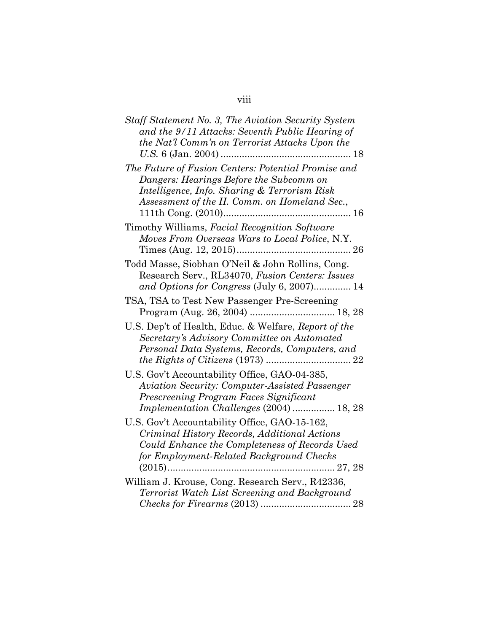| Staff Statement No. 3, The Aviation Security System<br>and the 9/11 Attacks: Seventh Public Hearing of<br>the Nat'l Comm'n on Terrorist Attacks Upon the                                       |
|------------------------------------------------------------------------------------------------------------------------------------------------------------------------------------------------|
| The Future of Fusion Centers: Potential Promise and<br>Dangers: Hearings Before the Subcomm on<br>Intelligence, Info. Sharing & Terrorism Risk<br>Assessment of the H. Comm. on Homeland Sec., |
| Timothy Williams, Facial Recognition Software<br>Moves From Overseas Wars to Local Police, N.Y.                                                                                                |
| Todd Masse, Siobhan O'Neil & John Rollins, Cong.<br>Research Serv., RL34070, Fusion Centers: Issues<br>and Options for Congress (July 6, 2007) 14                                              |
| TSA, TSA to Test New Passenger Pre-Screening                                                                                                                                                   |
| U.S. Dep't of Health, Educ. & Welfare, Report of the<br>Secretary's Advisory Committee on Automated<br>Personal Data Systems, Records, Computers, and                                          |
| U.S. Gov't Accountability Office, GAO-04-385,<br><b>Aviation Security: Computer-Assisted Passenger</b><br>Prescreening Program Faces Significant<br>Implementation Challenges (2004)  18, 28   |
| U.S. Gov't Accountability Office, GAO-15-162,<br>Criminal History Records, Additional Actions<br>Could Enhance the Completeness of Records Used<br>for Employment-Related Background Checks    |
| William J. Krouse, Cong. Research Serv., R42336,<br>Terrorist Watch List Screening and Background                                                                                              |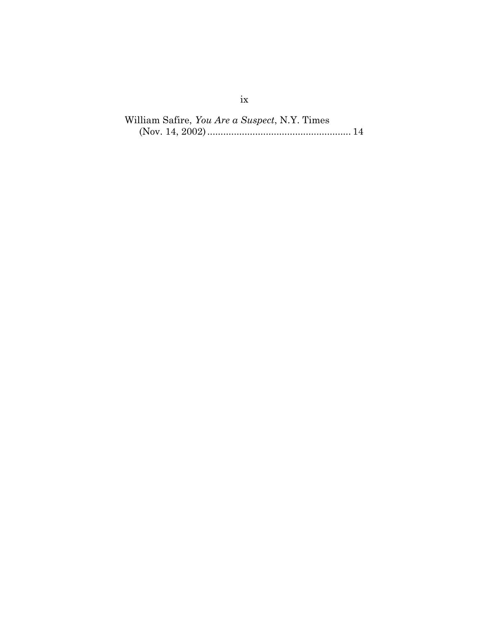William Safire, *You Are a Suspect*, N.Y. Times (Nov. 14, 2002)...................................................... 14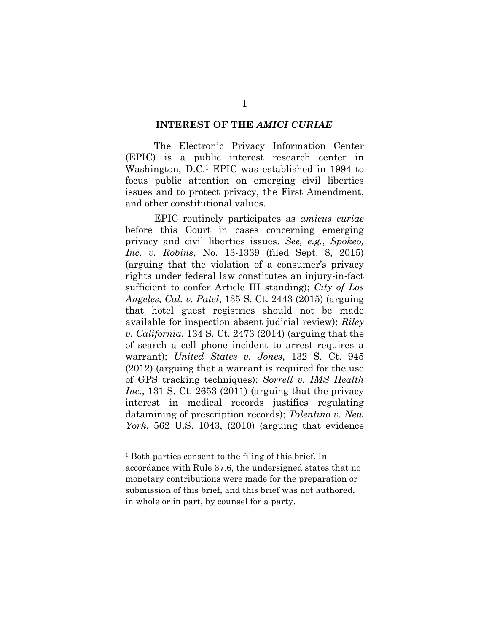### **INTEREST OF THE** *AMICI CURIAE*

The Electronic Privacy Information Center (EPIC) is a public interest research center in Washington, D.C.<sup>1</sup> EPIC was established in 1994 to focus public attention on emerging civil liberties issues and to protect privacy, the First Amendment, and other constitutional values.

EPIC routinely participates as *amicus curiae* before this Court in cases concerning emerging privacy and civil liberties issues. *See, e.g.*, *Spokeo, Inc. v. Robins*, No. 13-1339 (filed Sept. 8, 2015) (arguing that the violation of a consumer's privacy rights under federal law constitutes an injury-in-fact sufficient to confer Article III standing); *City of Los Angeles, Cal. v. Patel*, 135 S. Ct. 2443 (2015) (arguing that hotel guest registries should not be made available for inspection absent judicial review); *Riley v. California*, 134 S. Ct. 2473 (2014) (arguing that the of search a cell phone incident to arrest requires a warrant); *United States v. Jones*, 132 S. Ct. 945 (2012) (arguing that a warrant is required for the use of GPS tracking techniques); *Sorrell v. IMS Health Inc.*, 131 S. Ct. 2653 (2011) (arguing that the privacy interest in medical records justifies regulating datamining of prescription records); *Tolentino v. New York*, 562 U.S. 1043, (2010) (arguing that evidence

<sup>1</sup> Both parties consent to the filing of this brief. In accordance with Rule 37.6, the undersigned states that no monetary contributions were made for the preparation or submission of this brief, and this brief was not authored, in whole or in part, by counsel for a party.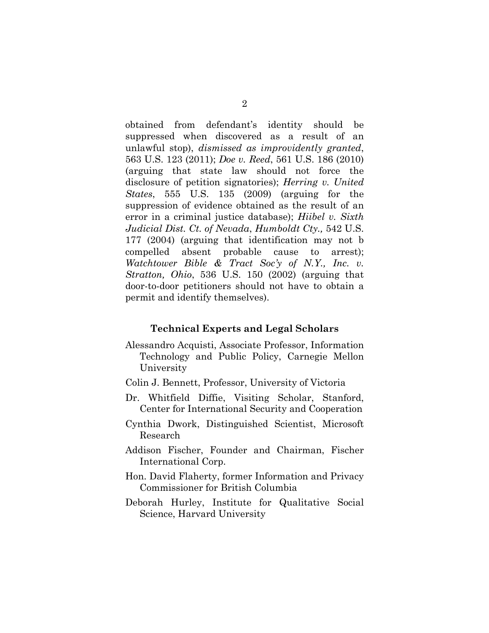obtained from defendant's identity should be suppressed when discovered as a result of an unlawful stop), *dismissed as improvidently granted*, 563 U.S. 123 (2011); *Doe v. Reed*, 561 U.S. 186 (2010) (arguing that state law should not force the disclosure of petition signatories); *Herring v. United States*, 555 U.S. 135 (2009) (arguing for the suppression of evidence obtained as the result of an error in a criminal justice database); *Hiibel v. Sixth Judicial Dist. Ct. of Nevada*, *Humboldt Cty.,* 542 U.S. 177 (2004) (arguing that identification may not b compelled absent probable cause to arrest); *Watchtower Bible & Tract Soc'y of N.Y., Inc. v. Stratton, Ohio*, 536 U.S. 150 (2002) (arguing that door-to-door petitioners should not have to obtain a permit and identify themselves).

### **Technical Experts and Legal Scholars**

- Alessandro Acquisti, Associate Professor, Information Technology and Public Policy, Carnegie Mellon University
- Colin J. Bennett, Professor, University of Victoria
- Dr. Whitfield Diffie, Visiting Scholar, Stanford, Center for International Security and Cooperation
- Cynthia Dwork, Distinguished Scientist, Microsoft Research
- Addison Fischer, Founder and Chairman, Fischer International Corp.
- Hon. David Flaherty, former Information and Privacy Commissioner for British Columbia
- Deborah Hurley, Institute for Qualitative Social Science, Harvard University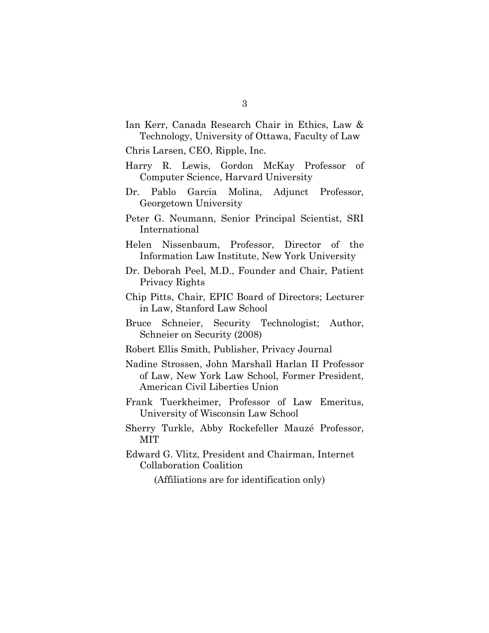Ian Kerr, Canada Research Chair in Ethics, Law & Technology, University of Ottawa, Faculty of Law

Chris Larsen, CEO, Ripple, Inc.

- Harry R. Lewis, Gordon McKay Professor of Computer Science, Harvard University
- Dr. Pablo Garcia Molina, Adjunct Professor, Georgetown University
- Peter G. Neumann, Senior Principal Scientist, SRI International
- Helen Nissenbaum, Professor, Director of the Information Law Institute, New York University
- Dr. Deborah Peel, M.D., Founder and Chair, Patient Privacy Rights
- Chip Pitts, Chair, EPIC Board of Directors; Lecturer in Law, Stanford Law School
- Bruce Schneier, Security Technologist; Author, Schneier on Security (2008)
- Robert Ellis Smith, Publisher, Privacy Journal
- Nadine Strossen, John Marshall Harlan II Professor of Law, New York Law School, Former President, American Civil Liberties Union
- Frank Tuerkheimer, Professor of Law Emeritus, University of Wisconsin Law School
- Sherry Turkle, Abby Rockefeller Mauzé Professor, MIT
- Edward G. Vlitz, President and Chairman, Internet Collaboration Coalition

(Affiliations are for identification only)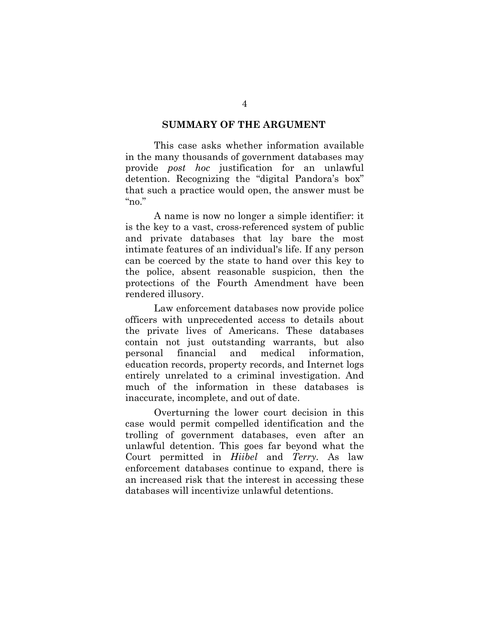### **SUMMARY OF THE ARGUMENT**

This case asks whether information available in the many thousands of government databases may provide *post hoc* justification for an unlawful detention. Recognizing the "digital Pandora's box" that such a practice would open, the answer must be "no"

A name is now no longer a simple identifier: it is the key to a vast, cross-referenced system of public and private databases that lay bare the most intimate features of an individual's life. If any person can be coerced by the state to hand over this key to the police, absent reasonable suspicion, then the protections of the Fourth Amendment have been rendered illusory.

Law enforcement databases now provide police officers with unprecedented access to details about the private lives of Americans. These databases contain not just outstanding warrants, but also personal financial and medical information, education records, property records, and Internet logs entirely unrelated to a criminal investigation. And much of the information in these databases is inaccurate, incomplete, and out of date.

Overturning the lower court decision in this case would permit compelled identification and the trolling of government databases, even after an unlawful detention. This goes far beyond what the Court permitted in *Hiibel* and *Terry.* As law enforcement databases continue to expand, there is an increased risk that the interest in accessing these databases will incentivize unlawful detentions.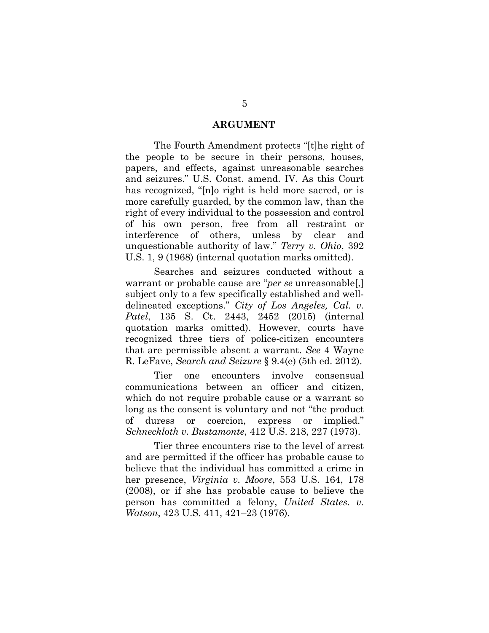### **ARGUMENT**

The Fourth Amendment protects "[t]he right of the people to be secure in their persons, houses, papers, and effects, against unreasonable searches and seizures." U.S. Const. amend. IV. As this Court has recognized, "[n]o right is held more sacred, or is more carefully guarded, by the common law, than the right of every individual to the possession and control of his own person, free from all restraint or interference of others, unless by clear and unquestionable authority of law." *Terry v. Ohio*, 392 U.S. 1, 9 (1968) (internal quotation marks omitted).

Searches and seizures conducted without a warrant or probable cause are "*per se* unreasonable[,] subject only to a few specifically established and welldelineated exceptions." *City of Los Angeles, Cal. v. Patel*, 135 S. Ct. 2443, 2452 (2015) (internal quotation marks omitted). However, courts have recognized three tiers of police-citizen encounters that are permissible absent a warrant. *See* 4 Wayne R. LeFave, *Search and Seizure* § 9.4(e) (5th ed. 2012).

Tier one encounters involve consensual communications between an officer and citizen, which do not require probable cause or a warrant so long as the consent is voluntary and not "the product of duress or coercion, express or implied." *Schneckloth v. Bustamonte*, 412 U.S. 218, 227 (1973).

Tier three encounters rise to the level of arrest and are permitted if the officer has probable cause to believe that the individual has committed a crime in her presence, *Virginia v. Moore*, 553 U.S. 164, 178 (2008), or if she has probable cause to believe the person has committed a felony, *United States. v. Watson*, 423 U.S. 411, 421–23 (1976).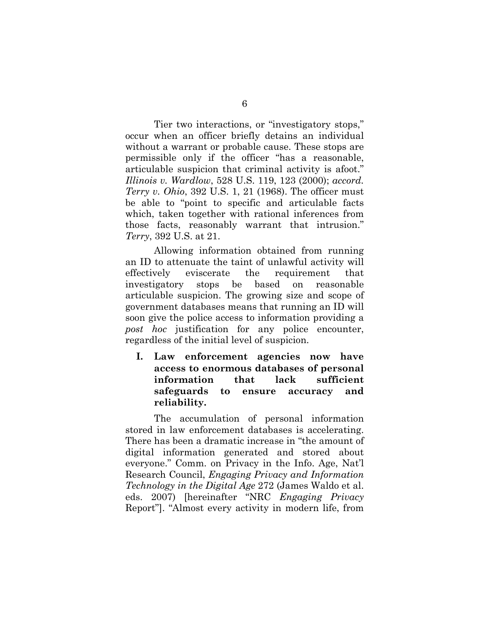Tier two interactions, or "investigatory stops," occur when an officer briefly detains an individual without a warrant or probable cause. These stops are permissible only if the officer "has a reasonable, articulable suspicion that criminal activity is afoot." *Illinois v. Wardlow*, 528 U.S. 119, 123 (2000); *accord. Terry v. Ohio*, 392 U.S. 1, 21 (1968). The officer must be able to "point to specific and articulable facts which, taken together with rational inferences from those facts, reasonably warrant that intrusion." *Terry*, 392 U.S. at 21.

Allowing information obtained from running an ID to attenuate the taint of unlawful activity will effectively eviscerate the requirement that investigatory stops be based on reasonable articulable suspicion. The growing size and scope of government databases means that running an ID will soon give the police access to information providing a *post hoc* justification for any police encounter, regardless of the initial level of suspicion.

**I. Law enforcement agencies now have access to enormous databases of personal information that lack sufficient safeguards to ensure accuracy and reliability.**

The accumulation of personal information stored in law enforcement databases is accelerating. There has been a dramatic increase in "the amount of digital information generated and stored about everyone." Comm. on Privacy in the Info. Age, Nat'l Research Council, *Engaging Privacy and Information Technology in the Digital Age* 272 (James Waldo et al. eds. 2007) [hereinafter "NRC *Engaging Privacy* Report"]. "Almost every activity in modern life, from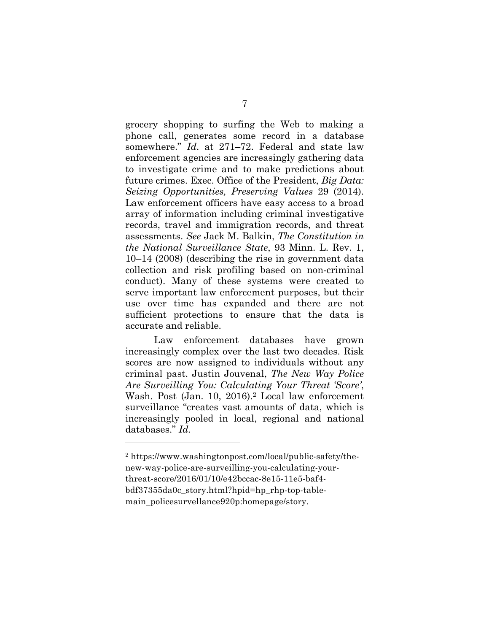grocery shopping to surfing the Web to making a phone call, generates some record in a database somewhere." *Id*. at 271–72. Federal and state law enforcement agencies are increasingly gathering data to investigate crime and to make predictions about future crimes. Exec. Office of the President, *Big Data: Seizing Opportunities, Preserving Values* 29 (2014). Law enforcement officers have easy access to a broad array of information including criminal investigative records, travel and immigration records, and threat assessments. *See* Jack M. Balkin, *The Constitution in the National Surveillance State*, 93 Minn. L. Rev. 1, 10–14 (2008) (describing the rise in government data collection and risk profiling based on non-criminal conduct). Many of these systems were created to serve important law enforcement purposes, but their use over time has expanded and there are not sufficient protections to ensure that the data is accurate and reliable.

Law enforcement databases have grown increasingly complex over the last two decades. Risk scores are now assigned to individuals without any criminal past. Justin Jouvenal, *The New Way Police Are Surveilling You: Calculating Your Threat 'Score'*, Wash. Post (Jan. 10, 2016).<sup>2</sup> Local law enforcement surveillance "creates vast amounts of data, which is increasingly pooled in local, regional and national databases." *Id.*

<sup>2</sup> https://www.washingtonpost.com/local/public-safety/thenew-way-police-are-surveilling-you-calculating-yourthreat-score/2016/01/10/e42bccac-8e15-11e5-baf4 bdf37355da0c\_story.html?hpid=hp\_rhp-top-tablemain\_policesurvellance920p:homepage/story.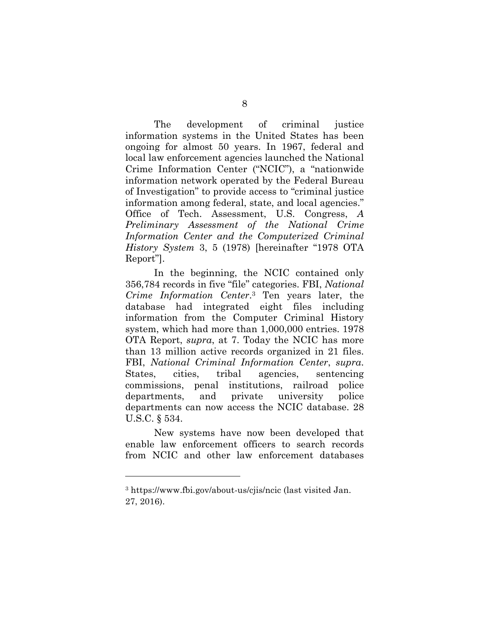The development of criminal justice information systems in the United States has been ongoing for almost 50 years. In 1967, federal and local law enforcement agencies launched the National Crime Information Center ("NCIC"), a "nationwide information network operated by the Federal Bureau of Investigation" to provide access to "criminal justice information among federal, state, and local agencies." Office of Tech. Assessment, U.S. Congress, *A Preliminary Assessment of the National Crime Information Center and the Computerized Criminal History System* 3, 5 (1978) [hereinafter "1978 OTA Report"].

In the beginning, the NCIC contained only 356,784 records in five "file" categories. FBI, *National Crime Information Center*.3 Ten years later, the database had integrated eight files including information from the Computer Criminal History system, which had more than 1,000,000 entries. 1978 OTA Report, *supra*, at 7. Today the NCIC has more than 13 million active records organized in 21 files. FBI, *National Criminal Information Center*, *supra*. States, cities, tribal agencies, sentencing commissions, penal institutions, railroad police departments, and private university police departments can now access the NCIC database. 28 U.S.C. § 534.

New systems have now been developed that enable law enforcement officers to search records from NCIC and other law enforcement databases

<sup>3</sup> https://www.fbi.gov/about-us/cjis/ncic (last visited Jan. 27, 2016).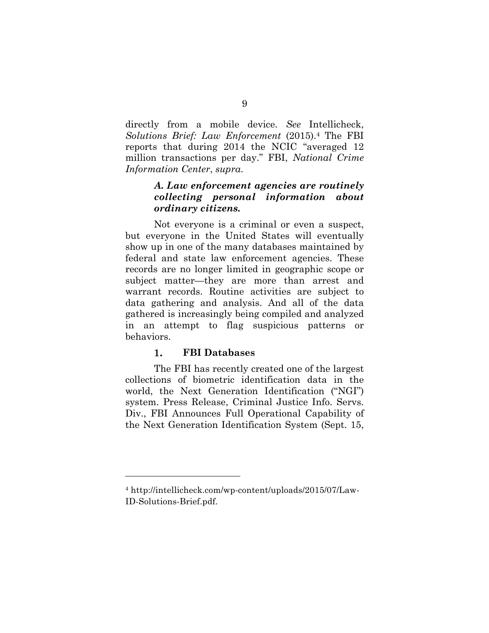directly from a mobile device. *See* Intellicheck, *Solutions Brief: Law Enforcement* (2015).4 The FBI reports that during 2014 the NCIC "averaged 12 million transactions per day." FBI, *National Crime Information Center*, *supra*.

### *A. Law enforcement agencies are routinely collecting personal information about ordinary citizens.*

Not everyone is a criminal or even a suspect, but everyone in the United States will eventually show up in one of the many databases maintained by federal and state law enforcement agencies. These records are no longer limited in geographic scope or subject matter—they are more than arrest and warrant records. Routine activities are subject to data gathering and analysis. And all of the data gathered is increasingly being compiled and analyzed in an attempt to flag suspicious patterns or behaviors.

#### 1. **FBI Databases**

1

The FBI has recently created one of the largest collections of biometric identification data in the world, the Next Generation Identification ("NGI") system. Press Release, Criminal Justice Info. Servs. Div., FBI Announces Full Operational Capability of the Next Generation Identification System (Sept. 15,

<sup>4</sup> http://intellicheck.com/wp-content/uploads/2015/07/Law-ID-Solutions-Brief.pdf.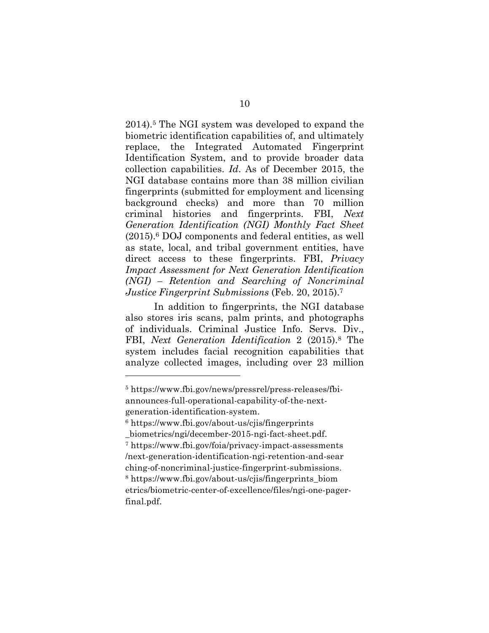2014).5 The NGI system was developed to expand the biometric identification capabilities of, and ultimately replace, the Integrated Automated Fingerprint Identification System, and to provide broader data collection capabilities. *Id*. As of December 2015, the NGI database contains more than 38 million civilian fingerprints (submitted for employment and licensing background checks) and more than 70 million criminal histories and fingerprints. FBI, *Next Generation Identification (NGI) Monthly Fact Sheet* (2015).6 DOJ components and federal entities, as well as state, local, and tribal government entities, have direct access to these fingerprints. FBI, *Privacy Impact Assessment for Next Generation Identification (NGI) – Retention and Searching of Noncriminal Justice Fingerprint Submissions* (Feb. 20, 2015).7

In addition to fingerprints, the NGI database also stores iris scans, palm prints, and photographs of individuals. Criminal Justice Info. Servs. Div., FBI, *Next Generation Identification* 2 (2015).8 The system includes facial recognition capabilities that analyze collected images, including over 23 million

<sup>5</sup> https://www.fbi.gov/news/pressrel/press-releases/fbiannounces-full-operational-capability-of-the-nextgeneration-identification-system.

 $6$  https://www.fbi.gov/about-us/cjis/fingerprints

\_biometrics/ngi/december-2015-ngi-fact-sheet.pdf.

<sup>7</sup> https://www.fbi.gov/foia/privacy-impact-assessments /next-generation-identification-ngi-retention-and-sear ching-of-noncriminal-justice-fingerprint-submissions.

<sup>8</sup> https://www.fbi.gov/about-us/cjis/fingerprints\_biom etrics/biometric-center-of-excellence/files/ngi-one-pagerfinal.pdf.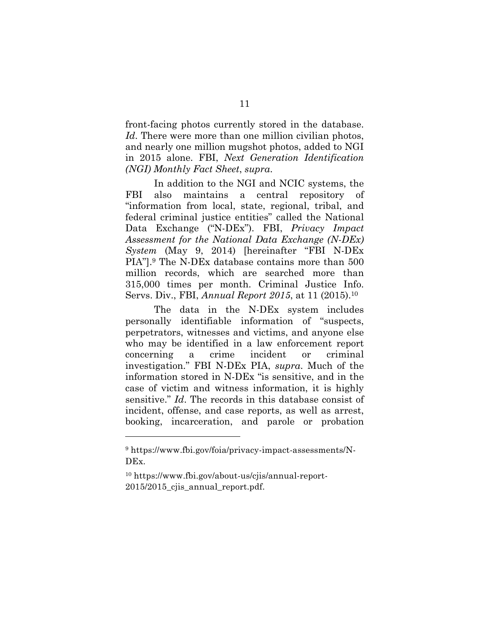front-facing photos currently stored in the database. *Id*. There were more than one million civilian photos, and nearly one million mugshot photos, added to NGI in 2015 alone. FBI, *Next Generation Identification (NGI) Monthly Fact Sheet*, *supra*.

In addition to the NGI and NCIC systems, the FBI also maintains a central repository of "information from local, state, regional, tribal, and federal criminal justice entities" called the National Data Exchange ("N-DEx"). FBI, *Privacy Impact Assessment for the National Data Exchange (N-DEx) System* (May 9, 2014) [hereinafter "FBI N-DEx PIA"].9 The N-DEx database contains more than 500 million records, which are searched more than 315,000 times per month. Criminal Justice Info. Servs. Div., FBI, *Annual Report 2015*, at 11 (2015).10

The data in the N-DEx system includes personally identifiable information of "suspects, perpetrators, witnesses and victims, and anyone else who may be identified in a law enforcement report concerning a crime incident or criminal investigation." FBI N-DEx PIA, *supra*. Much of the information stored in N-DEx "is sensitive, and in the case of victim and witness information, it is highly sensitive." *Id*. The records in this database consist of incident, offense, and case reports, as well as arrest, booking, incarceration, and parole or probation

<sup>&</sup>lt;sup>9</sup> https://www.fbi.gov/foia/privacy-impact-assessments/N-DEx.

<sup>10</sup> https://www.fbi.gov/about-us/cjis/annual-report-2015/2015 cjis annual report.pdf.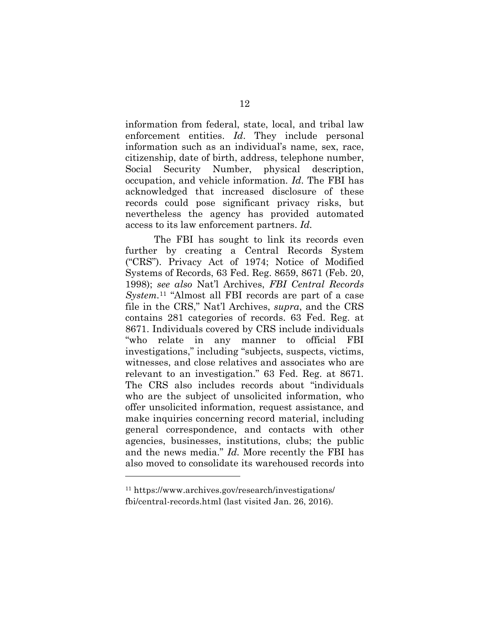information from federal, state, local, and tribal law enforcement entities. *Id*. They include personal information such as an individual's name, sex, race, citizenship, date of birth, address, telephone number, Social Security Number, physical description, occupation, and vehicle information. *Id*. The FBI has acknowledged that increased disclosure of these records could pose significant privacy risks, but nevertheless the agency has provided automated access to its law enforcement partners. *Id.*

The FBI has sought to link its records even further by creating a Central Records System ("CRS"). Privacy Act of 1974; Notice of Modified Systems of Records, 63 Fed. Reg. 8659, 8671 (Feb. 20, 1998); *see also* Nat'l Archives, *FBI Central Records System.*<sup>11</sup> "Almost all FBI records are part of a case file in the CRS," Nat'l Archives, *supra*, and the CRS contains 281 categories of records. 63 Fed. Reg. at 8671. Individuals covered by CRS include individuals "who relate in any manner to official FBI investigations," including "subjects, suspects, victims, witnesses, and close relatives and associates who are relevant to an investigation." 63 Fed. Reg. at 8671*.* The CRS also includes records about "individuals who are the subject of unsolicited information, who offer unsolicited information, request assistance, and make inquiries concerning record material, including general correspondence, and contacts with other agencies, businesses, institutions, clubs; the public and the news media." *Id.* More recently the FBI has also moved to consolidate its warehoused records into

<sup>11</sup> https://www.archives.gov/research/investigations/ fbi/central-records.html (last visited Jan. 26, 2016).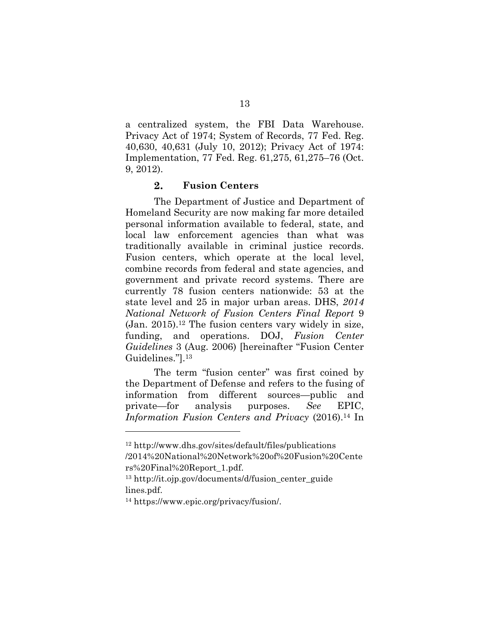a centralized system, the FBI Data Warehouse. Privacy Act of 1974; System of Records, 77 Fed. Reg. 40,630, 40,631 (July 10, 2012); Privacy Act of 1974: Implementation, 77 Fed. Reg. 61,275, 61,275–76 (Oct. 9, 2012).

#### $2.$ **Fusion Centers**

The Department of Justice and Department of Homeland Security are now making far more detailed personal information available to federal, state, and local law enforcement agencies than what was traditionally available in criminal justice records. Fusion centers, which operate at the local level, combine records from federal and state agencies, and government and private record systems. There are currently 78 fusion centers nationwide: 53 at the state level and 25 in major urban areas. DHS, *2014 National Network of Fusion Centers Final Report* 9  $(Jan. 2015).<sup>12</sup>$  The fusion centers vary widely in size, funding, and operations. DOJ, *Fusion Center Guidelines* 3 (Aug. 2006) [hereinafter "Fusion Center Guidelines."].13

The term "fusion center" was first coined by the Department of Defense and refers to the fusing of information from different sources—public and private—for analysis purposes. *See* EPIC, *Information Fusion Centers and Privacy* (2016).14 In

<sup>12</sup> http://www.dhs.gov/sites/default/files/publications /2014%20National%20Network%20of%20Fusion%20Cente rs%20Final%20Report\_1.pdf.

<sup>13</sup> http://it.ojp.gov/documents/d/fusion\_center\_guide lines.pdf.

<sup>14</sup> https://www.epic.org/privacy/fusion/.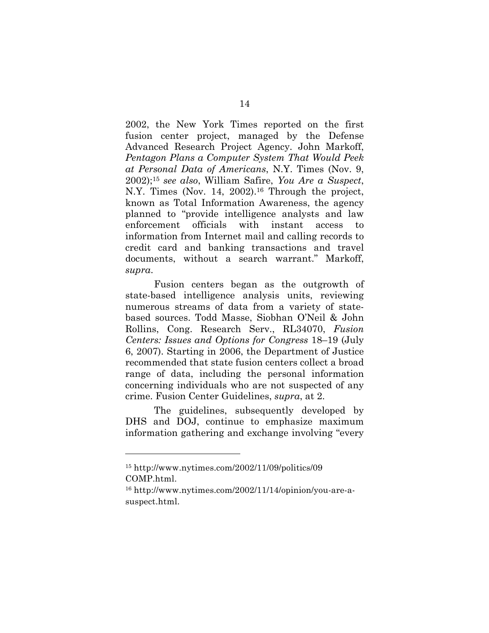2002, the New York Times reported on the first fusion center project, managed by the Defense Advanced Research Project Agency. John Markoff, *Pentagon Plans a Computer System That Would Peek at Personal Data of Americans*, N.Y. Times (Nov. 9, 2002);15 *see also*, William Safire, *You Are a Suspect*, N.Y. Times (Nov. 14, 2002).<sup>16</sup> Through the project, known as Total Information Awareness, the agency planned to "provide intelligence analysts and law enforcement officials with instant access to information from Internet mail and calling records to credit card and banking transactions and travel documents, without a search warrant." Markoff, *supra*.

Fusion centers began as the outgrowth of state-based intelligence analysis units, reviewing numerous streams of data from a variety of statebased sources. Todd Masse, Siobhan O'Neil & John Rollins, Cong. Research Serv., RL34070, *Fusion Centers: Issues and Options for Congress* 18–19 (July 6, 2007). Starting in 2006, the Department of Justice recommended that state fusion centers collect a broad range of data, including the personal information concerning individuals who are not suspected of any crime. Fusion Center Guidelines, *supra*, at 2.

The guidelines, subsequently developed by DHS and DOJ, continue to emphasize maximum information gathering and exchange involving "every

<sup>15</sup> http://www.nytimes.com/2002/11/09/politics/09 COMP.html.

<sup>16</sup> http://www.nytimes.com/2002/11/14/opinion/you-are-asuspect.html.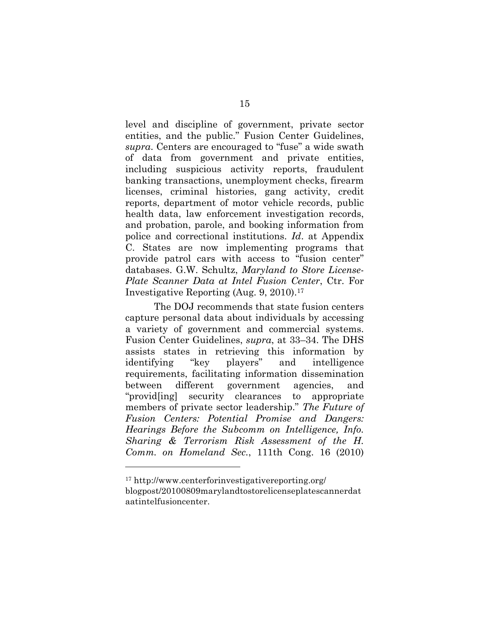level and discipline of government, private sector entities, and the public." Fusion Center Guidelines, *supra*. Centers are encouraged to "fuse" a wide swath of data from government and private entities, including suspicious activity reports, fraudulent banking transactions, unemployment checks, firearm licenses, criminal histories, gang activity, credit reports, department of motor vehicle records, public health data, law enforcement investigation records, and probation, parole, and booking information from police and correctional institutions. *Id*. at Appendix C. States are now implementing programs that provide patrol cars with access to "fusion center" databases. G.W. Schultz, *Maryland to Store License-Plate Scanner Data at Intel Fusion Center*, Ctr. For Investigative Reporting (Aug. 9, 2010).17

The DOJ recommends that state fusion centers capture personal data about individuals by accessing a variety of government and commercial systems. Fusion Center Guidelines, *supra*, at 33–34. The DHS assists states in retrieving this information by identifying "key players" and intelligence requirements, facilitating information dissemination between different government agencies, and "provid[ing] security clearances to appropriate members of private sector leadership." *The Future of Fusion Centers: Potential Promise and Dangers: Hearings Before the Subcomm on Intelligence, Info. Sharing & Terrorism Risk Assessment of the H. Comm. on Homeland Sec.*, 111th Cong. 16 (2010)

<sup>17</sup> http://www.centerforinvestigativereporting.org/ blogpost/20100809marylandtostorelicenseplatescannerdat aatintelfusioncenter.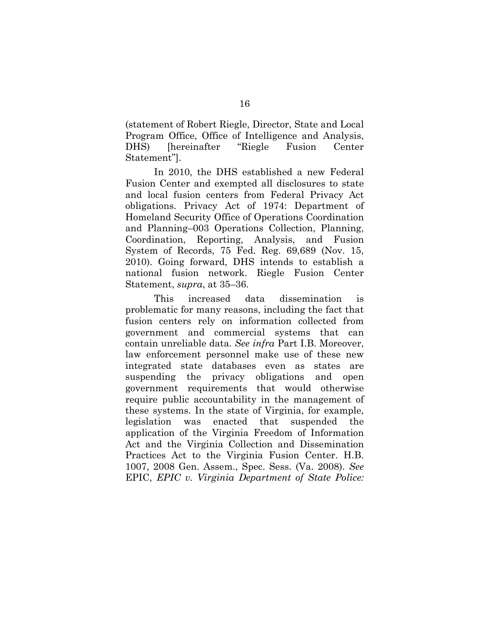(statement of Robert Riegle, Director, State and Local Program Office, Office of Intelligence and Analysis, DHS) [hereinafter "Riegle Fusion Center Statement"].

In 2010, the DHS established a new Federal Fusion Center and exempted all disclosures to state and local fusion centers from Federal Privacy Act obligations. Privacy Act of 1974: Department of Homeland Security Office of Operations Coordination and Planning–003 Operations Collection, Planning, Coordination, Reporting, Analysis, and Fusion System of Records, 75 Fed. Reg. 69,689 (Nov. 15, 2010). Going forward, DHS intends to establish a national fusion network. Riegle Fusion Center Statement, *supra*, at 35–36.

This increased data dissemination is problematic for many reasons, including the fact that fusion centers rely on information collected from government and commercial systems that can contain unreliable data. *See infra* Part I.B. Moreover, law enforcement personnel make use of these new integrated state databases even as states are suspending the privacy obligations and open government requirements that would otherwise require public accountability in the management of these systems. In the state of Virginia, for example, legislation was enacted that suspended the application of the Virginia Freedom of Information Act and the Virginia Collection and Dissemination Practices Act to the Virginia Fusion Center. H.B. 1007, 2008 Gen. Assem., Spec. Sess. (Va. 2008). *See* EPIC, *EPIC v. Virginia Department of State Police:*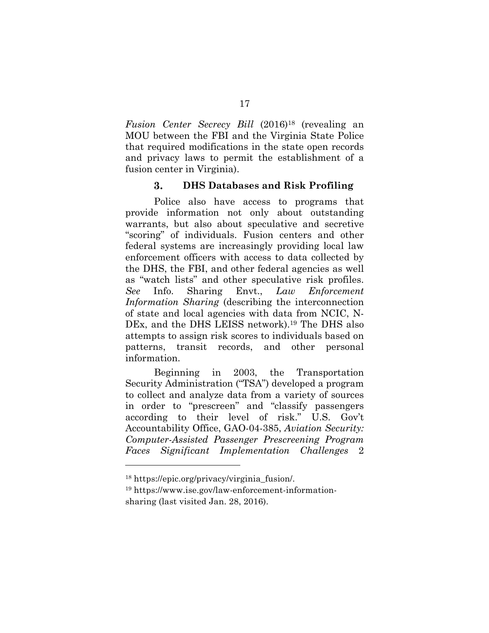*Fusion Center Secrecy Bill* (2016)<sup>18</sup> (revealing an MOU between the FBI and the Virginia State Police that required modifications in the state open records and privacy laws to permit the establishment of a fusion center in Virginia).

#### 3. **DHS Databases and Risk Profiling**

Police also have access to programs that provide information not only about outstanding warrants, but also about speculative and secretive "scoring" of individuals. Fusion centers and other federal systems are increasingly providing local law enforcement officers with access to data collected by the DHS, the FBI, and other federal agencies as well as "watch lists" and other speculative risk profiles. *See* Info. Sharing Envt., *Law Enforcement Information Sharing* (describing the interconnection of state and local agencies with data from NCIC, N-DEx, and the DHS LEISS network).<sup>19</sup> The DHS also attempts to assign risk scores to individuals based on patterns, transit records, and other personal information.

Beginning in 2003, the Transportation Security Administration ("TSA") developed a program to collect and analyze data from a variety of sources in order to "prescreen" and "classify passengers according to their level of risk." U.S. Gov't Accountability Office, GAO-04-385, *Aviation Security: Computer-Assisted Passenger Prescreening Program Faces Significant Implementation Challenges* 2

<sup>18</sup> https://epic.org/privacy/virginia\_fusion/.

<sup>19</sup> https://www.ise.gov/law-enforcement-informationsharing (last visited Jan. 28, 2016).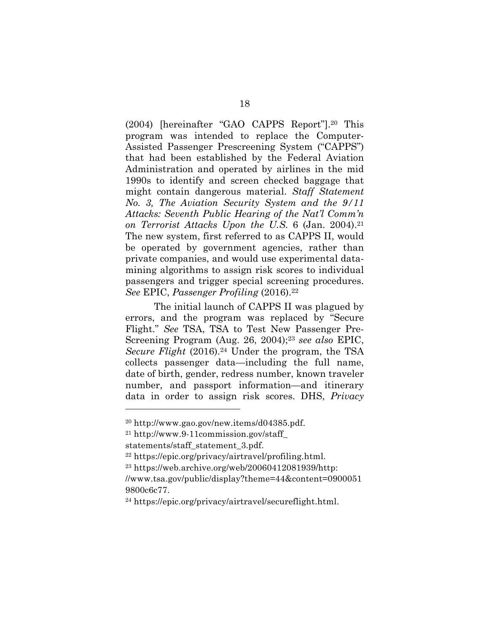(2004) [hereinafter "GAO CAPPS Report"].20 This program was intended to replace the Computer-Assisted Passenger Prescreening System ("CAPPS") that had been established by the Federal Aviation Administration and operated by airlines in the mid 1990s to identify and screen checked baggage that might contain dangerous material. *Staff Statement No. 3, The Aviation Security System and the 9/11 Attacks: Seventh Public Hearing of the Nat'l Comm'n on Terrorist Attacks Upon the U.S.* 6 (Jan. 2004).21 The new system, first referred to as CAPPS II, would be operated by government agencies, rather than private companies, and would use experimental datamining algorithms to assign risk scores to individual passengers and trigger special screening procedures. *See* EPIC, *Passenger Profiling* (2016).22

The initial launch of CAPPS II was plagued by errors, and the program was replaced by "Secure Flight." *See* TSA, TSA to Test New Passenger Pre-Screening Program (Aug. 26, 2004);23 *see also* EPIC, *Secure Flight* (2016).<sup>24</sup> Under the program, the TSA collects passenger data—including the full name, date of birth, gender, redress number, known traveler number, and passport information—and itinerary data in order to assign risk scores. DHS, *Privacy* 

 $^{20}$  http://www.gao.gov/new.items/d04385.pdf.

<sup>21</sup> http://www.9-11commission.gov/staff\_

statements/staff\_statement\_3.pdf.

<sup>22</sup> https://epic.org/privacy/airtravel/profiling.html.

 $23 \text{ https://web.archive.org/web/20060412081939/http:}$ 

<sup>//</sup>www.tsa.gov/public/display?theme=44&content=0900051 9800c6c77.

<sup>24</sup> https://epic.org/privacy/airtravel/secureflight.html.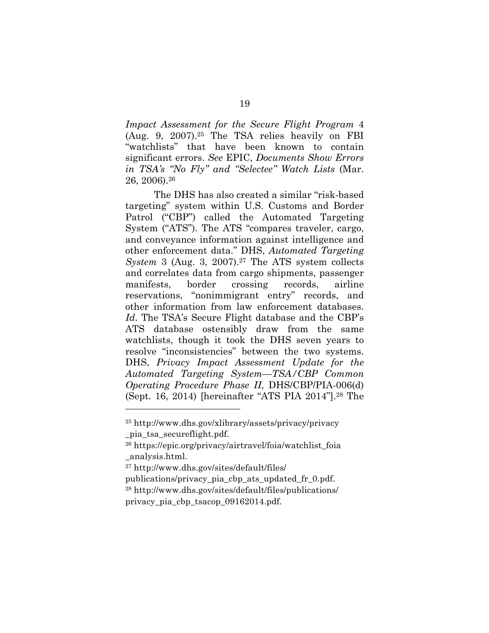*Impact Assessment for the Secure Flight Program* 4 (Aug. 9, 2007).25 The TSA relies heavily on FBI "watchlists" that have been known to contain significant errors. *See* EPIC, *Documents Show Errors in TSA's "No Fly" and "Selectee" Watch Lists* (Mar. 26, 2006).26

The DHS has also created a similar "risk-based targeting" system within U.S. Customs and Border Patrol ("CBP") called the Automated Targeting System ("ATS"). The ATS "compares traveler, cargo, and conveyance information against intelligence and other enforcement data." DHS, *Automated Targeting System* 3 (Aug. 3, 2007).<sup>27</sup> The ATS system collects and correlates data from cargo shipments, passenger manifests, border crossing records, airline reservations, "nonimmigrant entry" records, and other information from law enforcement databases. *Id*. The TSA's Secure Flight database and the CBP's ATS database ostensibly draw from the same watchlists, though it took the DHS seven years to resolve "inconsistencies" between the two systems. DHS, *Privacy Impact Assessment Update for the Automated Targeting System—TSA/CBP Common Operating Procedure Phase II*, DHS/CBP/PIA-006(d) (Sept. 16, 2014) [hereinafter "ATS PIA 2014"].28 The

<sup>25</sup> http://www.dhs.gov/xlibrary/assets/privacy/privacy \_pia\_tsa\_secureflight.pdf.

<sup>26</sup> https://epic.org/privacy/airtravel/foia/watchlist\_foia \_analysis.html.

<sup>27</sup> http://www.dhs.gov/sites/default/files/

publications/privacy\_pia\_cbp\_ats\_updated\_fr\_0.pdf. <sup>28</sup> http://www.dhs.gov/sites/default/files/publications/ privacy\_pia\_cbp\_tsacop\_09162014.pdf.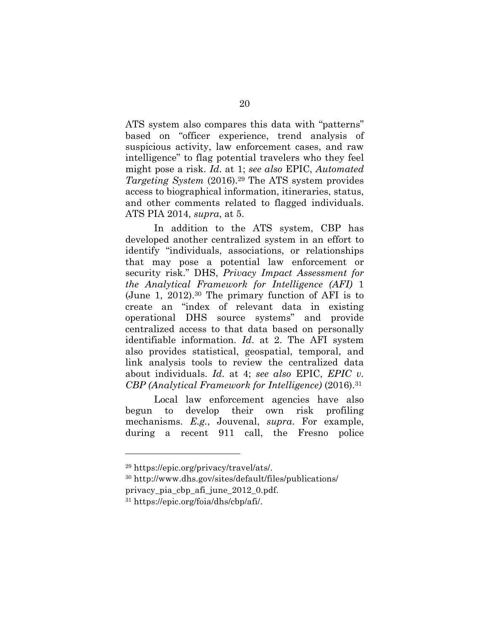ATS system also compares this data with "patterns" based on "officer experience, trend analysis of suspicious activity, law enforcement cases, and raw intelligence" to flag potential travelers who they feel might pose a risk. *Id*. at 1; *see also* EPIC, *Automated Targeting System* (2016).29 The ATS system provides access to biographical information, itineraries, status, and other comments related to flagged individuals. ATS PIA 2014, *supra*, at 5.

In addition to the ATS system, CBP has developed another centralized system in an effort to identify "individuals, associations, or relationships that may pose a potential law enforcement or security risk." DHS, *Privacy Impact Assessment for the Analytical Framework for Intelligence (AFI)* 1 (June 1, 2012).30 The primary function of AFI is to create an "index of relevant data in existing operational DHS source systems" and provide centralized access to that data based on personally identifiable information. *Id*. at 2. The AFI system also provides statistical, geospatial, temporal, and link analysis tools to review the centralized data about individuals. *Id*. at 4; *see also* EPIC, *EPIC v. CBP (Analytical Framework for Intelligence)* (2016).31

Local law enforcement agencies have also begun to develop their own risk profiling mechanisms. *E.g.*, Jouvenal, *supra*. For example, during a recent 911 call, the Fresno police

<sup>29</sup> https://epic.org/privacy/travel/ats/.

<sup>30</sup> http://www.dhs.gov/sites/default/files/publications/ privacy\_pia\_cbp\_afi\_june\_2012\_0.pdf.

<sup>31</sup> https://epic.org/foia/dhs/cbp/afi/.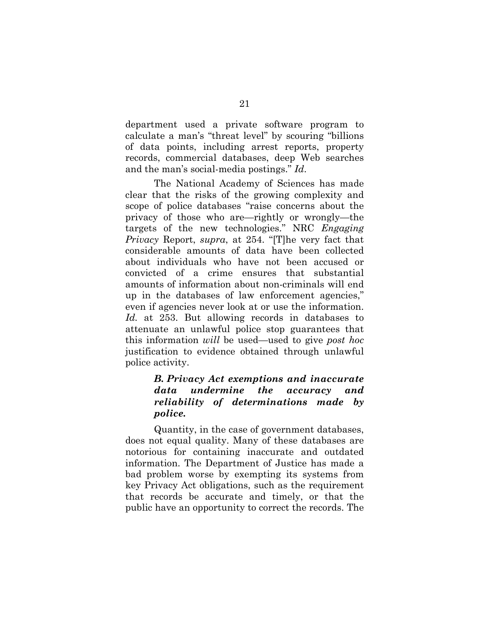department used a private software program to calculate a man's "threat level" by scouring "billions of data points, including arrest reports, property records, commercial databases, deep Web searches and the man's social-media postings." *Id*.

The National Academy of Sciences has made clear that the risks of the growing complexity and scope of police databases "raise concerns about the privacy of those who are—rightly or wrongly—the targets of the new technologies." NRC *Engaging Privacy* Report, *supra*, at 254. "[T]he very fact that considerable amounts of data have been collected about individuals who have not been accused or convicted of a crime ensures that substantial amounts of information about non-criminals will end up in the databases of law enforcement agencies," even if agencies never look at or use the information. *Id.* at 253. But allowing records in databases to attenuate an unlawful police stop guarantees that this information *will* be used—used to give *post hoc* justification to evidence obtained through unlawful police activity.

### *B. Privacy Act exemptions and inaccurate data undermine the accuracy and reliability of determinations made by police.*

Quantity, in the case of government databases, does not equal quality. Many of these databases are notorious for containing inaccurate and outdated information. The Department of Justice has made a bad problem worse by exempting its systems from key Privacy Act obligations, such as the requirement that records be accurate and timely, or that the public have an opportunity to correct the records. The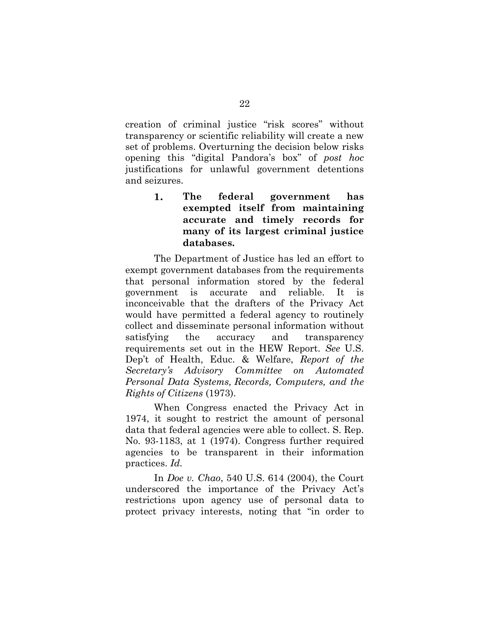creation of criminal justice "risk scores" without transparency or scientific reliability will create a new set of problems. Overturning the decision below risks opening this "digital Pandora's box" of *post hoc* justifications for unlawful government detentions and seizures.

> 1. **The federal government has exempted itself from maintaining accurate and timely records for many of its largest criminal justice databases.**

The Department of Justice has led an effort to exempt government databases from the requirements that personal information stored by the federal government is accurate and reliable. It is inconceivable that the drafters of the Privacy Act would have permitted a federal agency to routinely collect and disseminate personal information without satisfying the accuracy and transparency requirements set out in the HEW Report. *See* U.S. Dep't of Health, Educ. & Welfare, *Report of the Secretary's Advisory Committee on Automated Personal Data Systems, Records, Computers, and the Rights of Citizens* (1973).

When Congress enacted the Privacy Act in 1974, it sought to restrict the amount of personal data that federal agencies were able to collect. S. Rep. No. 93-1183, at 1 (1974). Congress further required agencies to be transparent in their information practices. *Id.*

In *Doe v. Chao*, 540 U.S. 614 (2004), the Court underscored the importance of the Privacy Act's restrictions upon agency use of personal data to protect privacy interests, noting that "in order to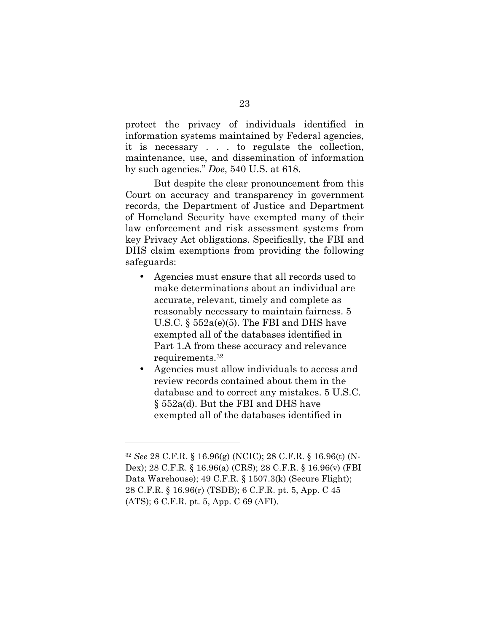protect the privacy of individuals identified in information systems maintained by Federal agencies, it is necessary . . . to regulate the collection, maintenance, use, and dissemination of information by such agencies." *Doe*, 540 U.S. at 618.

But despite the clear pronouncement from this Court on accuracy and transparency in government records, the Department of Justice and Department of Homeland Security have exempted many of their law enforcement and risk assessment systems from key Privacy Act obligations. Specifically, the FBI and DHS claim exemptions from providing the following safeguards:

- Agencies must ensure that all records used to make determinations about an individual are accurate, relevant, timely and complete as reasonably necessary to maintain fairness. 5 U.S.C.  $\S 552a(e)(5)$ . The FBI and DHS have exempted all of the databases identified in Part 1.A from these accuracy and relevance requirements.32
- Agencies must allow individuals to access and review records contained about them in the database and to correct any mistakes. 5 U.S.C. § 552a(d). But the FBI and DHS have exempted all of the databases identified in

<sup>32</sup> *See* 28 C.F.R. § 16.96(g) (NCIC); 28 C.F.R. § 16.96(t) (N-Dex); 28 C.F.R. § 16.96(a) (CRS); 28 C.F.R. § 16.96(v) (FBI Data Warehouse); 49 C.F.R. § 1507.3(k) (Secure Flight); 28 C.F.R. § 16.96(r) (TSDB); 6 C.F.R. pt. 5, App. C 45 (ATS); 6 C.F.R. pt. 5, App. C 69 (AFI).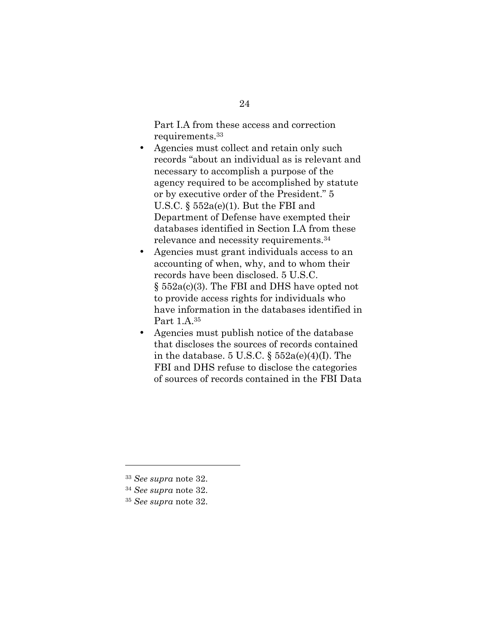Part I.A from these access and correction requirements.33

- Agencies must collect and retain only such records "about an individual as is relevant and necessary to accomplish a purpose of the agency required to be accomplished by statute or by executive order of the President." 5 U.S.C.  $\S 552a(e)(1)$ . But the FBI and Department of Defense have exempted their databases identified in Section I.A from these relevance and necessity requirements.34
- Agencies must grant individuals access to an accounting of when, why, and to whom their records have been disclosed. 5 U.S.C. § 552a(c)(3). The FBI and DHS have opted not to provide access rights for individuals who have information in the databases identified in Part 1.A.35
- Agencies must publish notice of the database that discloses the sources of records contained in the database.  $5 \text{ U.S.C. } \S 552a(e)(4)(I)$ . The FBI and DHS refuse to disclose the categories of sources of records contained in the FBI Data

<sup>33</sup> *See supra* note 32.

<sup>34</sup> *See supra* note 32.

<sup>35</sup> *See supra* note 32.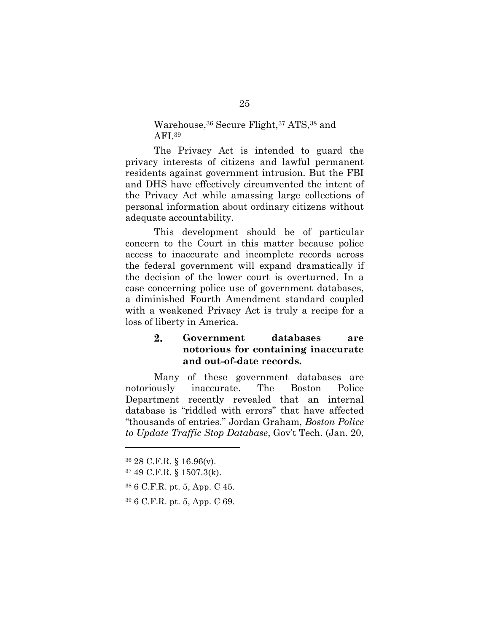### Warehouse,36 Secure Flight,37 ATS,38 and AFI.39

The Privacy Act is intended to guard the privacy interests of citizens and lawful permanent residents against government intrusion. But the FBI and DHS have effectively circumvented the intent of the Privacy Act while amassing large collections of personal information about ordinary citizens without adequate accountability.

This development should be of particular concern to the Court in this matter because police access to inaccurate and incomplete records across the federal government will expand dramatically if the decision of the lower court is overturned. In a case concerning police use of government databases, a diminished Fourth Amendment standard coupled with a weakened Privacy Act is truly a recipe for a loss of liberty in America.

### $2.$ **Government databases are notorious for containing inaccurate and out-of-date records.**

Many of these government databases are notoriously inaccurate. The Boston Police Department recently revealed that an internal database is "riddled with errors" that have affected "thousands of entries." Jordan Graham, *Boston Police to Update Traffic Stop Database*, Gov't Tech. (Jan. 20,

<sup>36</sup> 28 C.F.R. § 16.96(v).

<sup>37</sup> 49 C.F.R. § 1507.3(k).

<sup>38</sup> 6 C.F.R. pt. 5, App. C 45.

<sup>39</sup> 6 C.F.R. pt. 5, App. C 69.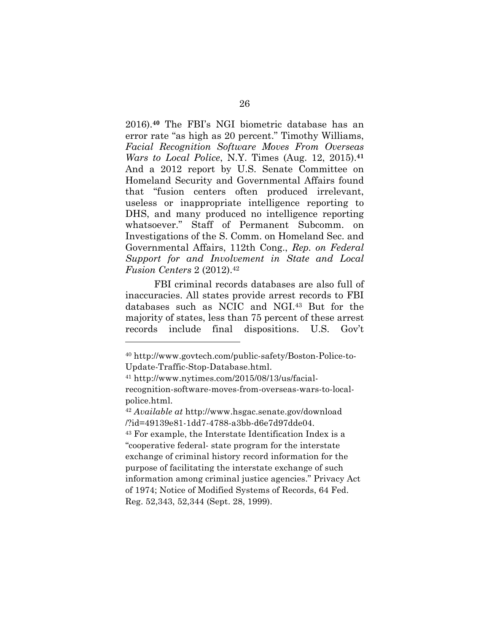2016).**<sup>40</sup>** The FBI's NGI biometric database has an error rate "as high as 20 percent." Timothy Williams, *Facial Recognition Software Moves From Overseas Wars to Local Police*, N.Y. Times (Aug. 12, 2015).**<sup>41</sup>** And a 2012 report by U.S. Senate Committee on Homeland Security and Governmental Affairs found that "fusion centers often produced irrelevant, useless or inappropriate intelligence reporting to DHS, and many produced no intelligence reporting whatsoever." Staff of Permanent Subcomm. on Investigations of the S. Comm. on Homeland Sec. and Governmental Affairs, 112th Cong., *Rep. on Federal Support for and Involvement in State and Local Fusion Centers* 2 (2012).<sup>42</sup>

FBI criminal records databases are also full of inaccuracies. All states provide arrest records to FBI databases such as NCIC and NGI.43 But for the majority of states, less than 75 percent of these arrest records include final dispositions. U.S. Gov't

<sup>40</sup> http://www.govtech.com/public-safety/Boston-Police-to-Update-Traffic-Stop-Database.html.

<sup>41</sup> http://www.nytimes.com/2015/08/13/us/facialrecognition-software-moves-from-overseas-wars-to-localpolice.html.

<sup>42</sup> *Available at* http://www.hsgac.senate.gov/download /?id=49139e81-1dd7-4788-a3bb-d6e7d97dde04.

<sup>43</sup> For example, the Interstate Identification Index is a "cooperative federal- state program for the interstate exchange of criminal history record information for the purpose of facilitating the interstate exchange of such information among criminal justice agencies." Privacy Act of 1974; Notice of Modified Systems of Records, 64 Fed. Reg. 52,343, 52,344 (Sept. 28, 1999).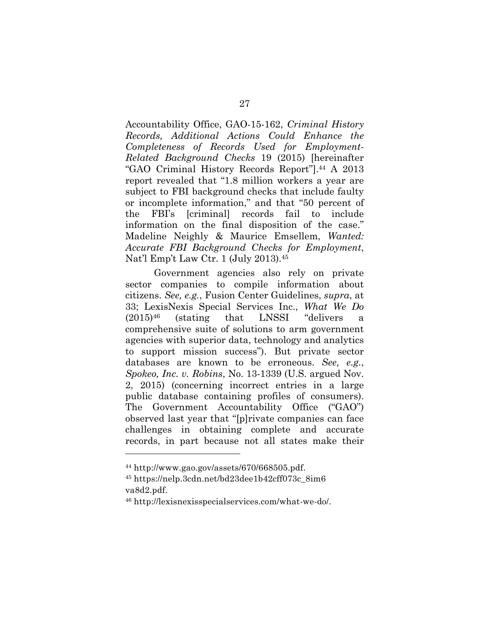Accountability Office, GAO-15-162, *Criminal History Records, Additional Actions Could Enhance the Completeness of Records Used for Employment-Related Background Checks* 19 (2015) [hereinafter "GAO Criminal History Records Report"].44 A 2013 report revealed that "1.8 million workers a year are subject to FBI background checks that include faulty or incomplete information," and that "50 percent of the FBI's [criminal] records fail to include information on the final disposition of the case." Madeline Neighly & Maurice Emsellem, *Wanted: Accurate FBI Background Checks for Employment*, Nat'l Emp't Law Ctr. 1 (July 2013).45

Government agencies also rely on private sector companies to compile information about citizens. *See, e.g.*, Fusion Center Guidelines, *supra*, at 33; LexisNexis Special Services Inc., *What We Do* (2015)46 (stating that LNSSI "delivers a comprehensive suite of solutions to arm government agencies with superior data, technology and analytics to support mission success"). But private sector databases are known to be erroneous. *See, e.g.*, *Spokeo, Inc. v. Robins*, No. 13-1339 (U.S. argued Nov. 2, 2015) (concerning incorrect entries in a large public database containing profiles of consumers). The Government Accountability Office ("GAO") observed last year that "[p]rivate companies can face challenges in obtaining complete and accurate records, in part because not all states make their

 $44 \text{ http://www.gao.gov/assets/670/668505.pdf.}$ 

<sup>45</sup> https://nelp.3cdn.net/bd23dee1b42cff073c\_8im6 va8d2.pdf.

<sup>46</sup> http://lexisnexisspecialservices.com/what-we-do/.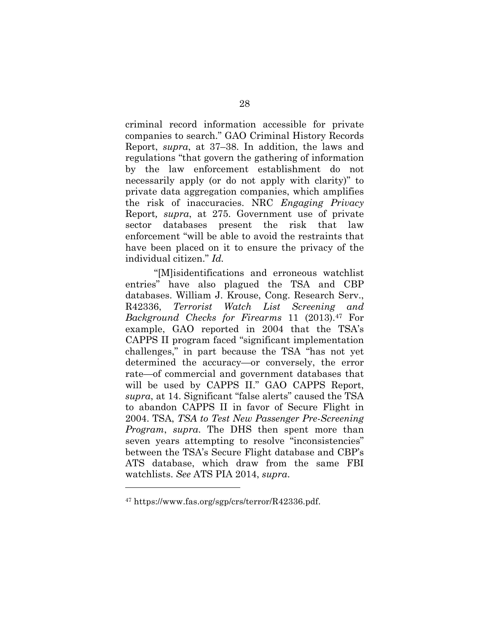criminal record information accessible for private companies to search." GAO Criminal History Records Report, *supra*, at 37–38. In addition, the laws and regulations "that govern the gathering of information by the law enforcement establishment do not necessarily apply (or do not apply with clarity)" to private data aggregation companies, which amplifies the risk of inaccuracies. NRC *Engaging Privacy*  Report*, supra*, at 275. Government use of private sector databases present the risk that law enforcement "will be able to avoid the restraints that have been placed on it to ensure the privacy of the individual citizen." *Id.*

"[M]isidentifications and erroneous watchlist entries" have also plagued the TSA and CBP databases. William J. Krouse, Cong. Research Serv., R42336, *Terrorist Watch List Screening and Background Checks for Firearms* 11 (2013).47 For example, GAO reported in 2004 that the TSA's CAPPS II program faced "significant implementation challenges," in part because the TSA "has not yet determined the accuracy—or conversely, the error rate—of commercial and government databases that will be used by CAPPS II." GAO CAPPS Report, *supra*, at 14. Significant "false alerts" caused the TSA to abandon CAPPS II in favor of Secure Flight in 2004. TSA, *TSA to Test New Passenger Pre-Screening Program*, *supra*. The DHS then spent more than seven years attempting to resolve "inconsistencies" between the TSA's Secure Flight database and CBP's ATS database, which draw from the same FBI watchlists. *See* ATS PIA 2014, *supra*.

<sup>47</sup> https://www.fas.org/sgp/crs/terror/R42336.pdf.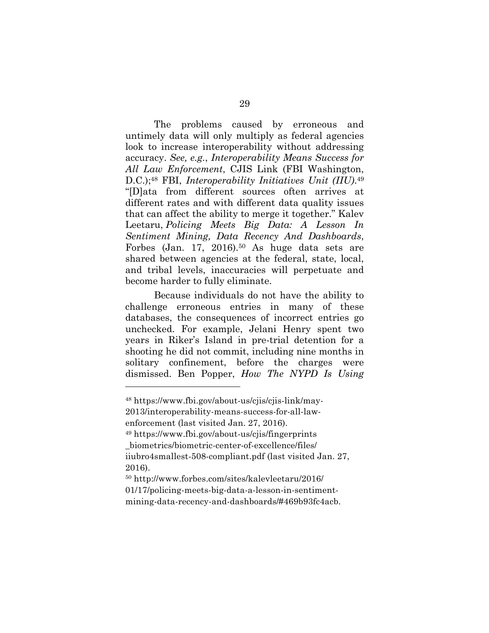The problems caused by erroneous and untimely data will only multiply as federal agencies look to increase interoperability without addressing accuracy. *See, e.g.*, *Interoperability Means Success for All Law Enforcement*, CJIS Link (FBI Washington, D.C.);48 FBI, *Interoperability Initiatives Unit (IIU)*.49 "[D]ata from different sources often arrives at different rates and with different data quality issues that can affect the ability to merge it together." Kalev Leetaru, *Policing Meets Big Data: A Lesson In Sentiment Mining, Data Recency And Dashboards*, Forbes (Jan. 17, 2016).50 As huge data sets are shared between agencies at the federal, state, local, and tribal levels, inaccuracies will perpetuate and become harder to fully eliminate.

Because individuals do not have the ability to challenge erroneous entries in many of these databases, the consequences of incorrect entries go unchecked. For example, Jelani Henry spent two years in Riker's Island in pre-trial detention for a shooting he did not commit, including nine months in solitary confinement, before the charges were dismissed. Ben Popper, *How The NYPD Is Using* 

<sup>48</sup> https://www.fbi.gov/about-us/cjis/cjis-link/may-

<sup>2013/</sup>interoperability-means-success-for-all-lawenforcement (last visited Jan. 27, 2016).

<sup>49</sup> https://www.fbi.gov/about-us/cjis/fingerprints \_biometrics/biometric-center-of-excellence/files/ iiubro4smallest-508-compliant.pdf (last visited Jan. 27, 2016).

<sup>50</sup> http://www.forbes.com/sites/kalevleetaru/2016/ 01/17/policing-meets-big-data-a-lesson-in-sentimentmining-data-recency-and-dashboards/#469b93fc4acb.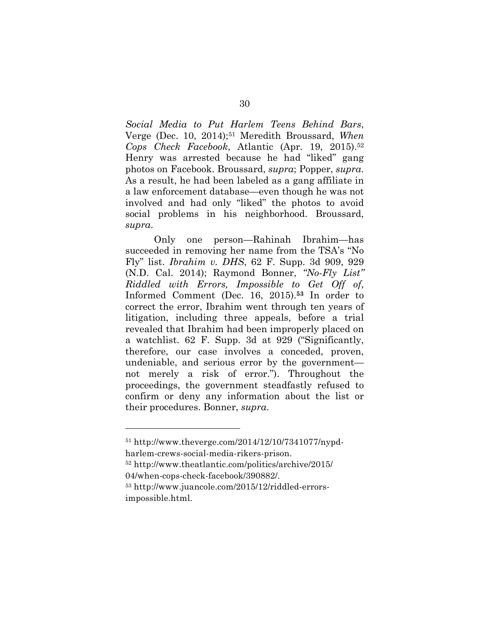*Social Media to Put Harlem Teens Behind Bars*, Verge (Dec. 10, 2014);51 Meredith Broussard, *When Cops Check Facebook*, Atlantic (Apr. 19, 2015).52 Henry was arrested because he had "liked" gang photos on Facebook. Broussard, *supra*; Popper, *supra*. As a result, he had been labeled as a gang affiliate in a law enforcement database—even though he was not involved and had only "liked" the photos to avoid social problems in his neighborhood. Broussard, *supra*.

Only one person—Rahinah Ibrahim—has succeeded in removing her name from the TSA's "No Fly" list. *Ibrahim v. DHS*, 62 F. Supp. 3d 909, 929 (N.D. Cal. 2014); Raymond Bonner, *"No-Fly List" Riddled with Errors, Impossible to Get Off of*, Informed Comment (Dec. 16, 2015).**<sup>53</sup>** In order to correct the error, Ibrahim went through ten years of litigation, including three appeals, before a trial revealed that Ibrahim had been improperly placed on a watchlist. 62 F. Supp. 3d at 929 ("Significantly, therefore, our case involves a conceded, proven, undeniable, and serious error by the government not merely a risk of error."). Throughout the proceedings, the government steadfastly refused to confirm or deny any information about the list or their procedures. Bonner, *supra*.

<sup>51</sup> http://www.theverge.com/2014/12/10/7341077/nypdharlem-crews-social-media-rikers-prison.

<sup>52</sup> http://www.theatlantic.com/politics/archive/2015/ 04/when-cops-check-facebook/390882/.

<sup>53</sup> http://www.juancole.com/2015/12/riddled-errorsimpossible.html.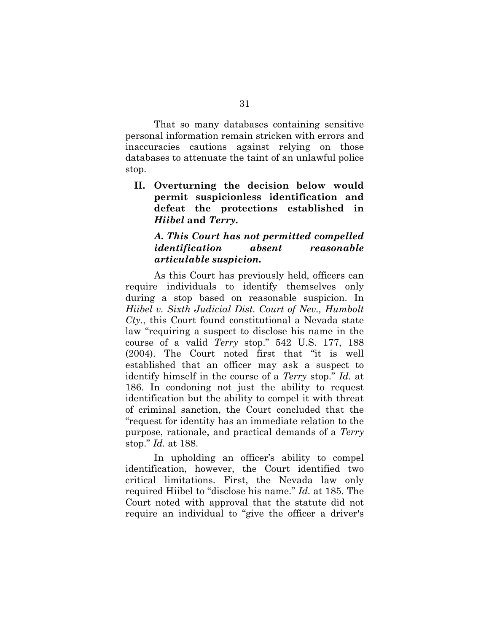That so many databases containing sensitive personal information remain stricken with errors and inaccuracies cautions against relying on those databases to attenuate the taint of an unlawful police stop.

**II. Overturning the decision below would permit suspicionless identification and defeat the protections established in**  *Hiibel* **and** *Terry***.**

### *A. This Court has not permitted compelled identification absent reasonable articulable suspicion.*

As this Court has previously held, officers can require individuals to identify themselves only during a stop based on reasonable suspicion. In *Hiibel v. Sixth Judicial Dist. Court of Nev., Humbolt Cty.*, this Court found constitutional a Nevada state law "requiring a suspect to disclose his name in the course of a valid *Terry* stop." 542 U.S. 177, 188 (2004). The Court noted first that "it is well established that an officer may ask a suspect to identify himself in the course of a *Terry* stop." *Id.* at 186. In condoning not just the ability to request identification but the ability to compel it with threat of criminal sanction, the Court concluded that the "request for identity has an immediate relation to the purpose, rationale, and practical demands of a *Terry* stop." *Id.* at 188.

In upholding an officer's ability to compel identification, however, the Court identified two critical limitations. First, the Nevada law only required Hiibel to "disclose his name." *Id.* at 185. The Court noted with approval that the statute did not require an individual to "give the officer a driver's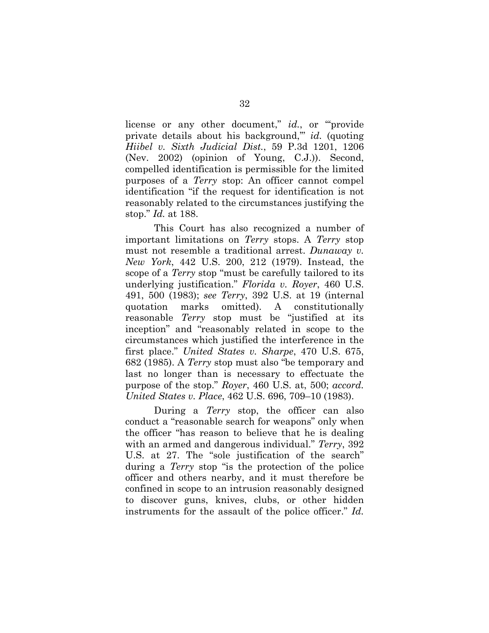license or any other document," *id.*, or ""provide" private details about his background,'" *id.* (quoting *Hiibel v. Sixth Judicial Dist.*, 59 P.3d 1201, 1206 (Nev. 2002) (opinion of Young, C.J.)). Second, compelled identification is permissible for the limited purposes of a *Terry* stop: An officer cannot compel identification "if the request for identification is not reasonably related to the circumstances justifying the stop." *Id.* at 188.

This Court has also recognized a number of important limitations on *Terry* stops. A *Terry* stop must not resemble a traditional arrest. *Dunaway v. New York*, 442 U.S. 200, 212 (1979). Instead, the scope of a *Terry* stop "must be carefully tailored to its underlying justification." *Florida v. Royer*, 460 U.S. 491, 500 (1983); *see Terry*, 392 U.S. at 19 (internal quotation marks omitted). A constitutionally reasonable *Terry* stop must be "justified at its inception" and "reasonably related in scope to the circumstances which justified the interference in the first place." *United States v. Sharpe*, 470 U.S. 675, 682 (1985). A *Terry* stop must also "be temporary and last no longer than is necessary to effectuate the purpose of the stop." *Royer*, 460 U.S. at, 500; *accord. United States v. Place*, 462 U.S. 696, 709–10 (1983).

During a *Terry* stop, the officer can also conduct a "reasonable search for weapons" only when the officer "has reason to believe that he is dealing with an armed and dangerous individual." *Terry*, 392 U.S. at 27. The "sole justification of the search" during a *Terry* stop "is the protection of the police officer and others nearby, and it must therefore be confined in scope to an intrusion reasonably designed to discover guns, knives, clubs, or other hidden instruments for the assault of the police officer." *Id.*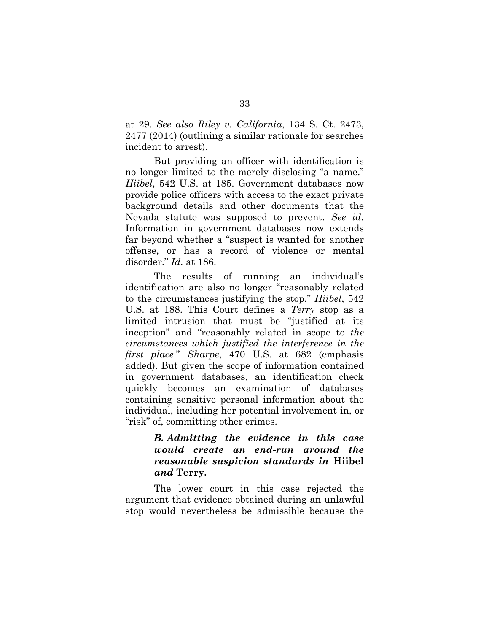at 29. *See also Riley v. California*, 134 S. Ct. 2473, 2477 (2014) (outlining a similar rationale for searches incident to arrest).

But providing an officer with identification is no longer limited to the merely disclosing "a name." *Hiibel*, 542 U.S. at 185. Government databases now provide police officers with access to the exact private background details and other documents that the Nevada statute was supposed to prevent. *See id.*  Information in government databases now extends far beyond whether a "suspect is wanted for another offense, or has a record of violence or mental disorder." *Id.* at 186.

The results of running an individual's identification are also no longer "reasonably related to the circumstances justifying the stop." *Hiibel*, 542 U.S. at 188. This Court defines a *Terry* stop as a limited intrusion that must be "justified at its inception" and "reasonably related in scope to *the circumstances which justified the interference in the first place*." *Sharpe*, 470 U.S. at 682 (emphasis added). But given the scope of information contained in government databases, an identification check quickly becomes an examination of databases containing sensitive personal information about the individual, including her potential involvement in, or "risk" of, committing other crimes.

### *B. Admitting the evidence in this case would create an end-run around the reasonable suspicion standards in* **Hiibel** *and* **Terry***.*

The lower court in this case rejected the argument that evidence obtained during an unlawful stop would nevertheless be admissible because the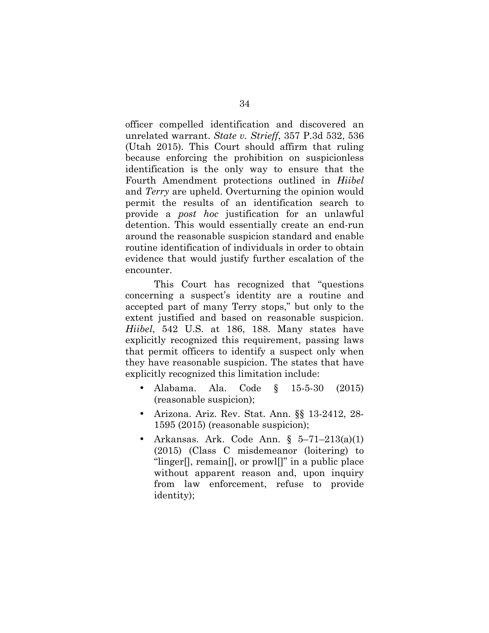officer compelled identification and discovered an unrelated warrant. *State v. Strieff*, 357 P.3d 532, 536 (Utah 2015). This Court should affirm that ruling because enforcing the prohibition on suspicionless identification is the only way to ensure that the Fourth Amendment protections outlined in *Hiibel*  and *Terry* are upheld. Overturning the opinion would permit the results of an identification search to provide a *post hoc* justification for an unlawful detention. This would essentially create an end-run around the reasonable suspicion standard and enable routine identification of individuals in order to obtain evidence that would justify further escalation of the encounter.

This Court has recognized that "questions concerning a suspect's identity are a routine and accepted part of many Terry stops," but only to the extent justified and based on reasonable suspicion. *Hiibel*, 542 U.S. at 186, 188. Many states have explicitly recognized this requirement, passing laws that permit officers to identify a suspect only when they have reasonable suspicion. The states that have explicitly recognized this limitation include:

- Alabama. Ala. Code § 15-5-30 (2015) (reasonable suspicion);
- Arizona. Ariz. Rev. Stat. Ann. §§ 13-2412, 28- 1595 (2015) (reasonable suspicion);
- Arkansas. Ark. Code Ann. § 5–71–213(a)(1) (2015) (Class C misdemeanor (loitering) to "linger[], remain[], or prowl[]" in a public place without apparent reason and, upon inquiry from law enforcement, refuse to provide identity);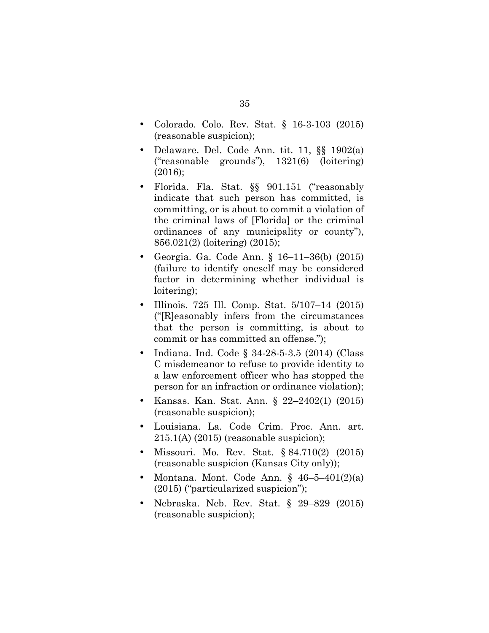- Colorado. Colo. Rev. Stat. § 16-3-103 (2015) (reasonable suspicion);
- Delaware. Del. Code Ann. tit. 11, §§ 1902(a) ("reasonable grounds"), 1321(6) (loitering) (2016);
- Florida. Fla. Stat.  $\S$  901.151 ("reasonably indicate that such person has committed, is committing, or is about to commit a violation of the criminal laws of [Florida] or the criminal ordinances of any municipality or county"), 856.021(2) (loitering) (2015);
- Georgia. Ga. Code Ann. § 16–11–36(b) (2015) (failure to identify oneself may be considered factor in determining whether individual is loitering);
- Illinois. 725 Ill. Comp. Stat. 5/107–14 (2015) ("[R]easonably infers from the circumstances that the person is committing, is about to commit or has committed an offense.");
- Indiana. Ind. Code § 34-28-5-3.5 (2014) (Class C misdemeanor to refuse to provide identity to a law enforcement officer who has stopped the person for an infraction or ordinance violation);
- Kansas. Kan. Stat. Ann. § 22–2402(1) (2015) (reasonable suspicion);
- Louisiana. La. Code Crim. Proc. Ann. art. 215.1(A) (2015) (reasonable suspicion);
- Missouri. Mo. Rev. Stat. § 84.710(2) (2015) (reasonable suspicion (Kansas City only));
- Montana. Mont. Code Ann.  $§$  46-5-401(2)(a) (2015) ("particularized suspicion");
- Nebraska. Neb. Rev. Stat. § 29–829 (2015) (reasonable suspicion);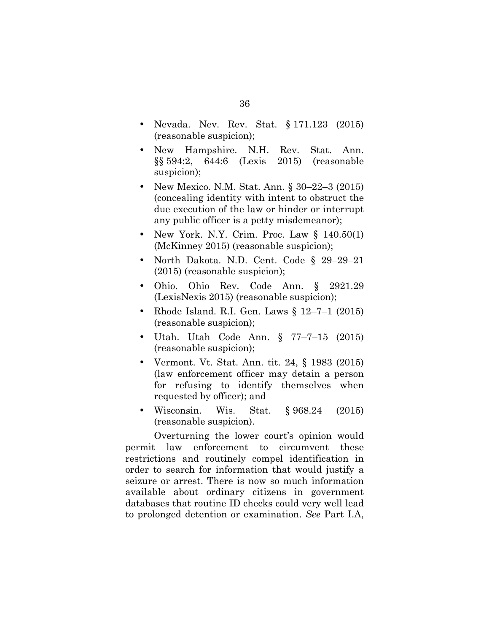- Nevada. Nev. Rev. Stat. § 171.123 (2015) (reasonable suspicion);
- New Hampshire. N.H. Rev. Stat. Ann. §§ 594:2, 644:6 (Lexis 2015) (reasonable suspicion);
- New Mexico. N.M. Stat. Ann. § 30–22–3 (2015) (concealing identity with intent to obstruct the due execution of the law or hinder or interrupt any public officer is a petty misdemeanor);
- New York. N.Y. Crim. Proc. Law  $\S$  140.50(1) (McKinney 2015) (reasonable suspicion);
- North Dakota. N.D. Cent. Code § 29–29–21 (2015) (reasonable suspicion);
- Ohio. Ohio Rev. Code Ann. § 2921.29 (LexisNexis 2015) (reasonable suspicion);
- Rhode Island. R.I. Gen. Laws § 12–7–1 (2015) (reasonable suspicion);
- Utah. Utah Code Ann. § 77–7–15 (2015) (reasonable suspicion);
- Vermont. Vt. Stat. Ann. tit. 24, § 1983 (2015) (law enforcement officer may detain a person for refusing to identify themselves when requested by officer); and
- Wisconsin. Wis. Stat. § 968.24 (2015) (reasonable suspicion).

Overturning the lower court's opinion would permit law enforcement to circumvent these restrictions and routinely compel identification in order to search for information that would justify a seizure or arrest. There is now so much information available about ordinary citizens in government databases that routine ID checks could very well lead to prolonged detention or examination. *See* Part I.A,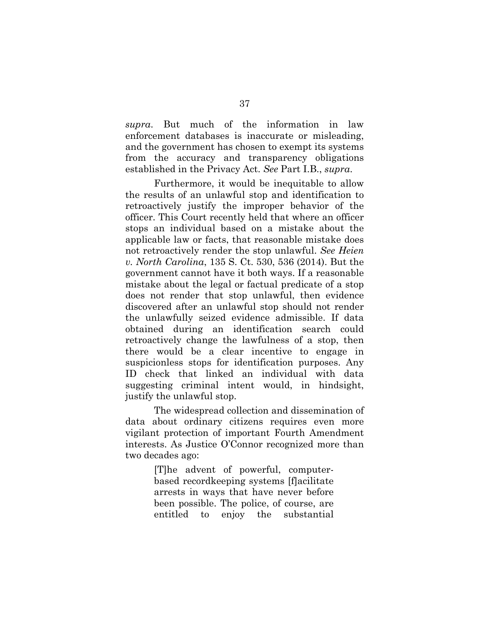*supra*. But much of the information in law enforcement databases is inaccurate or misleading, and the government has chosen to exempt its systems from the accuracy and transparency obligations established in the Privacy Act. *See* Part I.B., *supra*.

Furthermore, it would be inequitable to allow the results of an unlawful stop and identification to retroactively justify the improper behavior of the officer. This Court recently held that where an officer stops an individual based on a mistake about the applicable law or facts, that reasonable mistake does not retroactively render the stop unlawful. *See Heien v. North Carolina*, 135 S. Ct. 530, 536 (2014). But the government cannot have it both ways. If a reasonable mistake about the legal or factual predicate of a stop does not render that stop unlawful, then evidence discovered after an unlawful stop should not render the unlawfully seized evidence admissible. If data obtained during an identification search could retroactively change the lawfulness of a stop, then there would be a clear incentive to engage in suspicionless stops for identification purposes. Any ID check that linked an individual with data suggesting criminal intent would, in hindsight, justify the unlawful stop.

The widespread collection and dissemination of data about ordinary citizens requires even more vigilant protection of important Fourth Amendment interests. As Justice O'Connor recognized more than two decades ago:

> [T]he advent of powerful, computerbased recordkeeping systems [f]acilitate arrests in ways that have never before been possible. The police, of course, are entitled to enjoy the substantial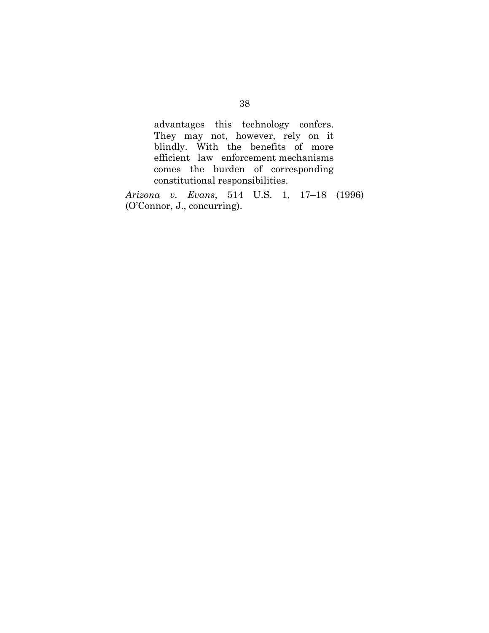advantages this technology confers. They may not, however, rely on it blindly. With the benefits of more efficient law enforcement mechanisms comes the burden of corresponding constitutional responsibilities.

*Arizona v. Evans*, 514 U.S. 1, 17–18 (1996) (O'Connor, J., concurring).